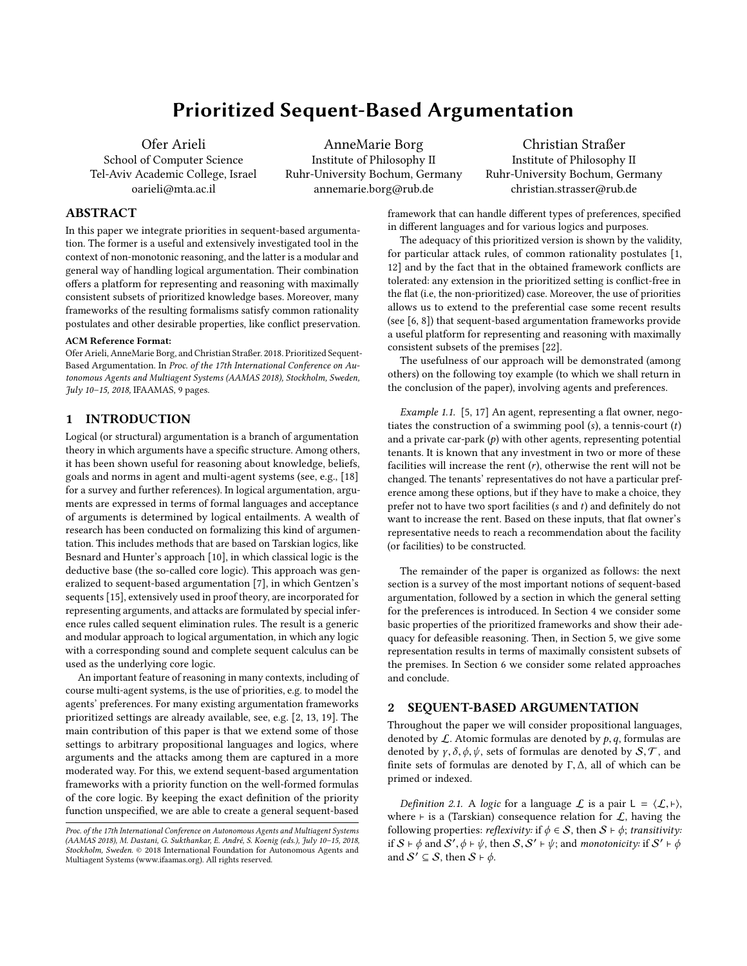# Prioritized Sequent-Based Argumentation

Ofer Arieli School of Computer Science Tel-Aviv Academic College, Israel oarieli@mta.ac.il

AnneMarie Borg Institute of Philosophy II Ruhr-University Bochum, Germany annemarie.borg@rub.de

Christian Straßer Institute of Philosophy II Ruhr-University Bochum, Germany christian.strasser@rub.de

# ABSTRACT

In this paper we integrate priorities in sequent-based argumentation. The former is a useful and extensively investigated tool in the context of non-monotonic reasoning, and the latter is a modular and general way of handling logical argumentation. Their combination offers a platform for representing and reasoning with maximally consistent subsets of prioritized knowledge bases. Moreover, many frameworks of the resulting formalisms satisfy common rationality postulates and other desirable properties, like conflict preservation.

# ACM Reference Format:

Ofer Arieli, AnneMarie Borg, and Christian Straßer. 2018. Prioritized Sequent-Based Argumentation. In Proc. of the 17th International Conference on Autonomous Agents and Multiagent Systems (AAMAS 2018), Stockholm, Sweden, July 10–15, 2018, IFAAMAS, [9](#page-8-0) pages.

#### 1 INTRODUCTION

Logical (or structural) argumentation is a branch of argumentation theory in which arguments have a specific structure. Among others, it has been shown useful for reasoning about knowledge, beliefs, goals and norms in agent and multi-agent systems (see, e.g., [\[18\]](#page-8-1) for a survey and further references). In logical argumentation, arguments are expressed in terms of formal languages and acceptance of arguments is determined by logical entailments. A wealth of research has been conducted on formalizing this kind of argumentation. This includes methods that are based on Tarskian logics, like Besnard and Hunter's approach [\[10\]](#page-8-2), in which classical logic is the deductive base (the so-called core logic). This approach was generalized to sequent-based argumentation [\[7\]](#page-8-3), in which Gentzen's sequents [\[15\]](#page-8-4), extensively used in proof theory, are incorporated for representing arguments, and attacks are formulated by special inference rules called sequent elimination rules. The result is a generic and modular approach to logical argumentation, in which any logic with a corresponding sound and complete sequent calculus can be used as the underlying core logic.

An important feature of reasoning in many contexts, including of course multi-agent systems, is the use of priorities, e.g. to model the agents' preferences. For many existing argumentation frameworks prioritized settings are already available, see, e.g. [\[2,](#page-8-5) [13,](#page-8-6) [19\]](#page-8-7). The main contribution of this paper is that we extend some of those settings to arbitrary propositional languages and logics, where arguments and the attacks among them are captured in a more moderated way. For this, we extend sequent-based argumentation frameworks with a priority function on the well-formed formulas of the core logic. By keeping the exact definition of the priority function unspecified, we are able to create a general sequent-based

framework that can handle different types of preferences, specified in different languages and for various logics and purposes.

The adequacy of this prioritized version is shown by the validity, for particular attack rules, of common rationality postulates [\[1,](#page-8-8) [12\]](#page-8-9) and by the fact that in the obtained framework conflicts are tolerated: any extension in the prioritized setting is conflict-free in the flat (i.e, the non-prioritized) case. Moreover, the use of priorities allows us to extend to the preferential case some recent results (see [\[6,](#page-8-10) [8\]](#page-8-11)) that sequent-based argumentation frameworks provide a useful platform for representing and reasoning with maximally consistent subsets of the premises [\[22\]](#page-8-12).

The usefulness of our approach will be demonstrated (among others) on the following toy example (to which we shall return in the conclusion of the paper), involving agents and preferences.

<span id="page-0-0"></span>Example 1.1. [\[5,](#page-8-13) [17\]](#page-8-14) An agent, representing a flat owner, negotiates the construction of a swimming pool  $(s)$ , a tennis-court  $(t)$ and a private car-park  $(p)$  with other agents, representing potential tenants. It is known that any investment in two or more of these facilities will increase the rent  $(r)$ , otherwise the rent will not be changed. The tenants' representatives do not have a particular preference among these options, but if they have to make a choice, they prefer not to have two sport facilities (s and t) and definitely do not want to increase the rent. Based on these inputs, that flat owner's representative needs to reach a recommendation about the facility (or facilities) to be constructed.

The remainder of the paper is organized as follows: the next section is a survey of the most important notions of sequent-based argumentation, followed by a section in which the general setting for the preferences is introduced. In Section [4](#page-3-0) we consider some basic properties of the prioritized frameworks and show their adequacy for defeasible reasoning. Then, in Section [5,](#page-6-0) we give some representation results in terms of maximally consistent subsets of the premises. In Section [6](#page-7-0) we consider some related approaches and conclude.

# 2 SEQUENT-BASED ARGUMENTATION

Throughout the paper we will consider propositional languages, denoted by  $\mathcal L$ . Atomic formulas are denoted by  $p, q$ , formulas are denoted by  $\gamma$ ,  $\delta$ ,  $\phi$ ,  $\psi$ , sets of formulas are denoted by  $\mathcal{S}, \mathcal{T}$ , and finite sets of formulas are denoted by <sup>Γ</sup>, <sup>∆</sup>, all of which can be primed or indexed.

Definition 2.1. A logic for a language  $\mathcal L$  is a pair  $L = \langle \mathcal L, \vdash \rangle$ , where  $⊩$  is a (Tarskian) consequence relation for  $L$ , having the following properties: *reflexivity*: if  $\phi \in S$ , then  $S \vdash \phi$ ; *transitivity*: if  $S \vdash \phi$  and  $\overline{S'}$ ,  $\phi \vdash \psi$ , then  $S$ ,  $S' \vdash \psi$ ; and monotonicity: if  $S' \vdash \phi$ <br>and  $S' \subset S$  then  $S \vdash \phi$ and  $S' \subseteq S$ , then  $S \vdash \phi$ .

Proc. of the 17th International Conference on Autonomous Agents and Multiagent Systems (AAMAS 2018), M. Dastani, G. Sukthankar, E. André, S. Koenig (eds.), July 10–15, 2018, Stockholm, Sweden. © 2018 International Foundation for Autonomous Agents and Multiagent Systems (www.ifaamas.org). All rights reserved.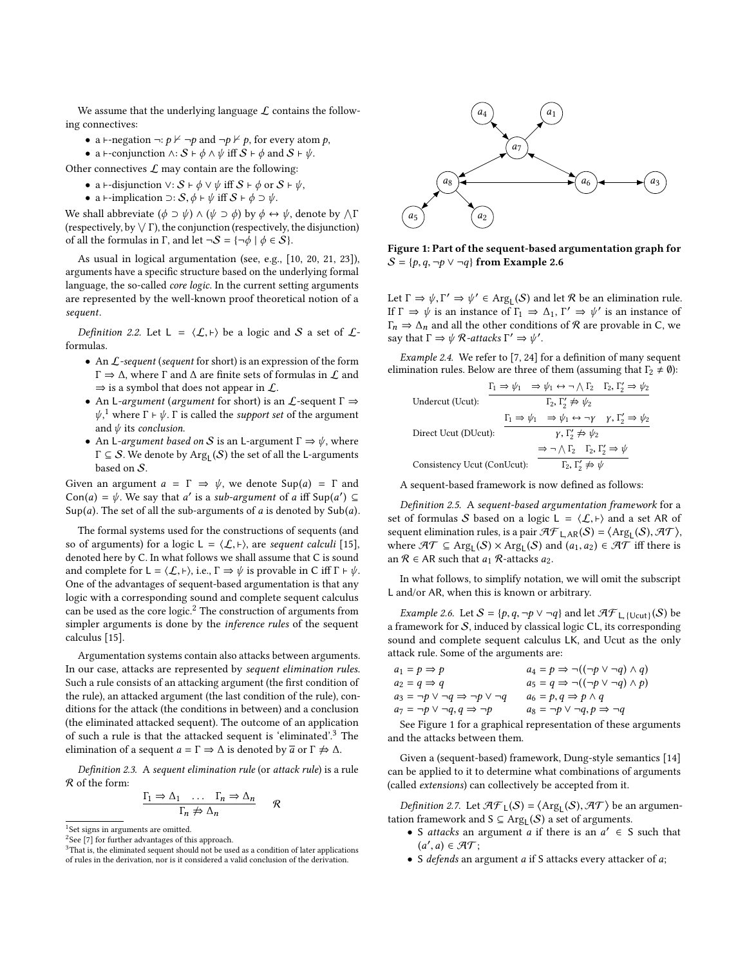We assume that the underlying language  $\mathcal L$  contains the following connectives:

- a ⊢-negation  $\neg: p \nvdash \neg p$  and  $\neg p \nvdash p$ , for every atom  $p$ ,
- a ⊢-conjunction  $\wedge$ :  $S \vdash \phi \wedge \psi$  iff  $S \vdash \phi$  and  $S \vdash \psi$ .

Other connectives  $\mathcal L$  may contain are the following:

- a ⊢-disjunction  $\vee$ :  $S \vdash \phi \vee \psi$  iff  $S \vdash \phi$  or  $S \vdash \psi$ ,
- a ⊢-implication  $\supset$ :  $S, \phi \vdash \psi$  iff  $S \vdash \phi \supset \psi$ .

We shall abbreviate  $(\phi \supset \psi) \wedge (\psi \supset \phi)$  by  $\phi \leftrightarrow \psi$ , denote by  $\wedge \Gamma$  (respectively the disjunction) (respectively, by  $\vee$   $\Gamma$ ), the conjunction (respectively, the disjunction) of all the formulas in Γ, and let  $\neg S = {\neg \phi \mid \phi \in S}$ .

As usual in logical argumentation (see, e.g., [\[10,](#page-8-2) [20,](#page-8-15) [21,](#page-8-16) [23\]](#page-8-17)), arguments have a specific structure based on the underlying formal language, the so-called core logic. In the current setting arguments are represented by the well-known proof theoretical notion of a sequent.

Definition 2.2. Let  $L = \langle \mathcal{L}, \vdash \rangle$  be a logic and S a set of  $\mathcal{L}$ formulas.

- An L-sequent (sequent for short) is an expression of the form  $Γ$   $\Rightarrow$  Δ, where Γ and Δ are finite sets of formulas in  $L$  and  $\Rightarrow$  is a symbol that does not appear in  $\mathcal{L}$ .
- An L-argument (argument for short) is an  $\mathcal L$ -sequent  $\Gamma \Rightarrow$  $\psi$ ,<sup>[1](#page-1-0)</sup> where  $\Gamma \vdash \psi$ .  $\Gamma$  is called the *support set* of the argument and  $\psi$  its conclusion.
- An L-argument based on S is an L-argument  $\Gamma \Rightarrow \psi$ , where  $\Gamma \subseteq \mathcal{S}$ . We denote by  $\text{Arg}_{\mathsf{L}}(\mathcal{S})$  the set of all the L-arguments based on S.

Given an argument  $a = \Gamma \Rightarrow \psi$ , we denote  $\text{Sup}(a) = \Gamma$  and Con(a) =  $\psi$ . We say that a' is a sub-argument of a iff Sup(a')  $\subseteq$ <br>Sup(a) The set of all the sub-arguments of a is denoted by Sub(a)  $Sup(a)$ . The set of all the sub-arguments of a is denoted by  $Sub(a)$ .

The formal systems used for the constructions of sequents (and so of arguments) for a logic L =  $\langle \mathcal{L}, \vdash \rangle$ , are sequent calculi [\[15\]](#page-8-4), denoted here by C. In what follows we shall assume that C is sound and complete for  $L = \langle \mathcal{L}, \vdash \rangle$ , i.e.,  $\Gamma \Rightarrow \psi$  is provable in C iff  $\Gamma \vdash \psi$ . One of the advantages of sequent-based argumentation is that any logic with a corresponding sound and complete sequent calculus can be used as the core logic.<sup>[2](#page-1-1)</sup> The construction of arguments from simpler arguments is done by the inference rules of the sequent calculus [\[15\]](#page-8-4).

Argumentation systems contain also attacks between arguments. In our case, attacks are represented by sequent elimination rules. Such a rule consists of an attacking argument (the first condition of the rule), an attacked argument (the last condition of the rule), conditions for the attack (the conditions in between) and a conclusion (the eliminated attacked sequent). The outcome of an application of such a rule is that the attacked sequent is 'eliminated'.[3](#page-1-2) The elimination of a sequent  $a = \Gamma \Rightarrow \Delta$  is denoted by  $\overline{a}$  or  $\Gamma \not\Rightarrow \Delta$ .

<span id="page-1-6"></span>Definition 2.3. A sequent elimination rule (or attack rule) is a rule R of the form:

$$
\frac{\Gamma_1 \Rightarrow \Delta_1 \quad \dots \quad \Gamma_n \Rightarrow \Delta_n}{\Gamma_n \not\Rightarrow \Delta_n} \qquad \mathcal{R}
$$

<span id="page-1-4"></span>

Figure 1: Part of the sequent-based argumentation graph for  $S = \{p, q, \neg p \lor \neg q\}$  from Example [2.6](#page-1-3)

Let  $\Gamma \Rightarrow \psi, \Gamma' \Rightarrow \psi' \in \text{Arg}_{\mathsf{L}}(\mathcal{S})$  and let  $\mathcal{R}$  be an elimination rule. If  $\Gamma \Rightarrow \psi$  is an instance of  $\Gamma_1 \Rightarrow \Delta_1$ ,  $\Gamma' \Rightarrow \psi'$  is an instance of  $\Gamma \Rightarrow \Delta_1$  and all the other conditions of  $\Re$  are provable in C we  $\Gamma_n \Rightarrow \Delta_n$  and all the other conditions of R are provable in C, we say that  $\Gamma \Rightarrow \psi \mathrel R$ -attacks  $\Gamma' \Rightarrow \psi'$ .

<span id="page-1-7"></span>Example 2.4. We refer to [\[7,](#page-8-3) [24\]](#page-8-18) for a definition of many sequent elimination rules. Below are three of them (assuming that  $\Gamma_2 \neq \emptyset$ ):

|                             |  | $\Gamma_1 \Rightarrow \psi_1 \Rightarrow \psi_1 \leftrightarrow \neg \wedge \Gamma_2 \quad \Gamma_2, \Gamma'_2 \Rightarrow \psi_2$ |  |  |
|-----------------------------|--|------------------------------------------------------------------------------------------------------------------------------------|--|--|
| Undercut (Ucut):            |  | $\Gamma_2, \Gamma'_2 \not\Rightarrow \psi_2$                                                                                       |  |  |
|                             |  | $\Gamma_1 \Rightarrow \psi_1 \Rightarrow \psi_1 \leftrightarrow \neg \gamma \quad \gamma, \Gamma'_2 \Rightarrow \psi_2$            |  |  |
| Direct Ucut (DUcut):        |  | $\gamma, \Gamma'_2 \not \Rightarrow \psi_2$                                                                                        |  |  |
|                             |  | $\Rightarrow \neg \wedge \Gamma_2 \quad \Gamma_2, \Gamma'_2 \Rightarrow \psi$                                                      |  |  |
| Consistency Ucut (ConUcut): |  | $\Gamma_2, \Gamma'_2 \not\Rightarrow \psi$                                                                                         |  |  |
|                             |  |                                                                                                                                    |  |  |

A sequent-based framework is now defined as follows:

<span id="page-1-8"></span>Definition 2.5. A sequent-based argumentation framework for a set of formulas S based on a logic L =  $\langle L, \vdash \rangle$  and a set AR of sequent elimination rules, is a pair  $\mathcal{H}_{L,AR}(S) = \langle \text{Arg}(S), \mathcal{H} \rangle$ ,<br>where  $\mathcal{H}_{L} \subset \text{Arg}(S) \times \text{Arg}(S)$  and  $(a, a) \in \mathcal{H}$  iff there is where  $\mathcal{AT} \subseteq \text{Arg}_{\mathsf{L}}(\mathcal{S}) \times \text{Arg}_{\mathsf{L}}(\mathcal{S})$  and  $(a_1, a_2) \in \mathcal{AT}$  iff there is an  $\mathcal{R} \in AR$  such that  $a_1$   $\mathcal{R}$ -attacks  $a_2$ .

In what follows, to simplify notation, we will omit the subscript L and/or AR, when this is known or arbitrary.

<span id="page-1-3"></span>Example 2.6. Let  $S = \{p, q, \neg p \lor \neg q\}$  and let  $\mathcal{AF}_{\mathsf{L}}\left(\bigcup_{\mathsf{C}}(S)\right)$  be ramework for S, induced by classical logic  $\mathsf{CL}$  its corresponding a framework for  $S$ , induced by classical logic CL, its corresponding sound and complete sequent calculus LK, and Ucut as the only attack rule. Some of the arguments are:

| $a_1 = p \Rightarrow p$                                   | $a_4 = p \Rightarrow \neg((\neg p \lor \neg q) \land q)$       |
|-----------------------------------------------------------|----------------------------------------------------------------|
| $a_2 = q \Rightarrow q$                                   | $a_5 = q \Rightarrow \neg((\neg p \lor \neg q) \land p)$       |
| $a_3 = \neg p \lor \neg q \Rightarrow \neg p \lor \neg q$ | $a_6 = p, q \Rightarrow p \wedge q$                            |
| $a_7 = \neg p \lor \neg q, q \Rightarrow \neg p$          | $a_8 = \neg p \lor \neg q, p \Rightarrow \neg q$               |
|                                                           | See Figure 1 for a graphical representation of these arguments |

and the attacks between them.

Given a (sequent-based) framework, Dung-style semantics [\[14\]](#page-8-19) can be applied to it to determine what combinations of arguments (called extensions) can collectively be accepted from it.

<span id="page-1-5"></span>Definition 2.7. Let  $\mathcal{H}F_{\mathsf{L}}(S) = \langle \text{Arg}_{\mathsf{L}}(S), \mathcal{H}T \rangle$  be an argumention framework and  $S \subseteq \text{Arg}(S)$  a set of arguments tation framework and  $S \subseteq \text{Arg}_{L}(S)$  a set of arguments.

- S *attacks* an argument *a* if there is an  $a' \in S$  such that  $(a', a) \in \mathcal{AT}$ .  $(a', a) \in \mathcal{AT}$ ;<br>S defends an a
- S defends an argument a if S attacks every attacker of a;

<span id="page-1-0"></span><sup>&</sup>lt;sup>1</sup>Set signs in arguments are omitted.

<span id="page-1-1"></span><sup>&</sup>lt;sup>2</sup>See [\[7\]](#page-8-3) for further advantages of this approach.

<span id="page-1-2"></span><sup>&</sup>lt;sup>3</sup>That is, the eliminated sequent should not be used as a condition of later applications of rules in the derivation, nor is it considered a valid conclusion of the derivation.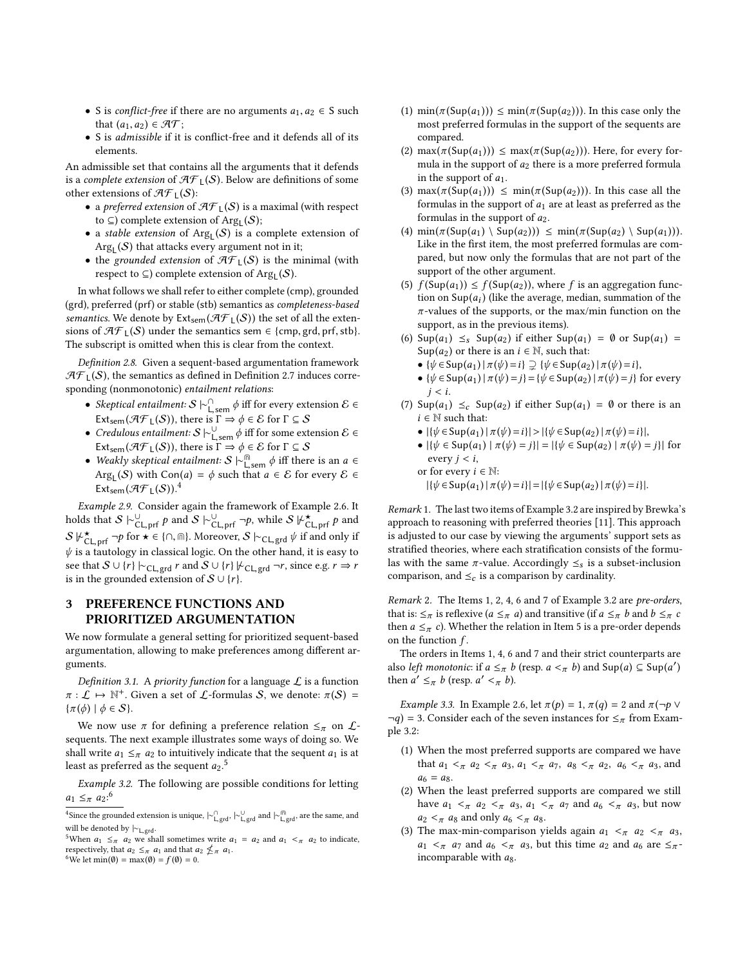- S is *conflict-free* if there are no arguments  $a_1, a_2 \in S$  such that  $(a_1, a_2) \in \mathcal{AT}$ ;
- S is admissible if it is conflict-free and it defends all of its elements.

An admissible set that contains all the arguments that it defends is a complete extension of  $\mathcal{AF}_{\mathsf{L}}(\mathcal{S})$ . Below are definitions of some other extensions of  $\mathcal{AF}_{L}(S)$ :

- $\bullet\,$  a preferred extension of  $\mathcal{AF}_{\mathsf{L}}(\mathcal{S})$  is a maximal (with respect to  $\subseteq$ ) complete extension of Arg<sub>L</sub>( $\mathcal{S}$ );
- a stable extension of  $Arg<sub>L</sub>(S)$  is a complete extension of  $Arg_{L}(S)$  that attacks every argument not in it;
- the grounded extension of  $\mathcal{AF}_{\perp}(\mathcal{S})$  is the minimal (with respect to  $\subseteq$ ) complete extension of  $\text{Arg}_{\mathsf{L}}(\mathcal{S})$ .

In what follows we shall refer to either complete (cmp), grounded (grd), preferred (prf) or stable (stb) semantics as completeness-based semantics. We denote by  $Ext_{sem}(\mathcal{AF}_{L}(S))$  the set of all the extensions of  $\mathcal{AF}_1(S)$  under the semantics sem  $\in \{\text{cmp}, \text{grd}, \text{prf}, \text{stb}\}.$ The subscript is omitted when this is clear from the context.

<span id="page-2-5"></span>Definition 2.8. Given a sequent-based argumentation framework  $\mathcal{AF}_L(S)$ , the semantics as defined in Definition [2.7](#page-1-5) induces corresponding (nonmonotonic) entailment relations:

- Skeptical entailment:  $S \vdash^{\cap}_{\mathsf{L,sem}} \phi$  iff for every extension  $\mathcal{E} \in \mathbb{R}^d$  of  $\mathcal{L}(S)$ . Ext<sub>sem</sub> ( $\mathcal{AF}_L(S)$ ), there is  $\Gamma \Rightarrow \phi \in \mathcal{E}$  for  $\Gamma \subseteq S$ <br>Credulous entailment:  $S \vdash^{\cup}$  of a fift for some ext
- Credulous entailment:  $S \vdash_{\text{L,sem}}^{\cup} \phi$  iff for some extension  $\mathcal{E} \in \mathbb{S}^{\mathsf{L}}$ Ext<sub>sem</sub>( $\mathcal{AF}_L(S)$ ), there is  $\Gamma \Rightarrow \phi \in \mathcal{E}$  for  $\Gamma \subseteq S$ <br>• Weakly skeptical entailment:  $S \vdash^{\textcircled{m}}_{\text{L,sem}} \phi$  iff there is an  $a \in \mathcal{E}$ <br>•  $\mathcal{E}(\mathcal{S})$  with  $\text{Con}(a) = \phi$  and that  $a \in \mathcal{E}$  for graps:  $\mathcal{E} \subseteq$
- Arg<sub>L</sub>(S) with Con(a) =  $\phi$  such that  $a \in \mathcal{E}$  for every  $\mathcal{E} \in$ <br>
Ext.  $(\mathcal{A} \mathcal{F}, (S))$ <sup>4</sup> Ext<sub>sem</sub>  $(\mathcal{AF}_{L}(S))$ .<sup>[4](#page-2-0)</sup>

Example 2.9. Consider again the framework of Example [2.6.](#page-1-3) It holds that  $S \models_{\text{CL,prf}}^{\cup} p$  and  $S \models_{\text{CL,prf}}^{\cup} \neg p$ , while  $S \not\models_{\text{CL,prf}}^{\star} p$  and  $S \not\models_{\text{CL,prf}}^{\star} p$ .  $S \not\vdash_{\mathsf{CL, prf}}^{\star} \neg p$  for  $\star \in \{\cap, \text{m}\}\.$  Moreover,  $S \models_{\mathsf{CL, grd}} \psi$  if and only if  $\psi$  is a tautology in classical logic. On the other hand, it is easy to  $\psi$  is a tautology in classical logic. On the other hand, it is easy to see that  $S \cup \{r\} \vdash_{\text{CL,grd}} r$  and  $S \cup \{r\} \not\vdash_{\text{CL,grd}} \neg r$ , since e.g.  $r \Rightarrow r$ is in the grounded extension of  $S \cup \{r\}$ .

# 3 PREFERENCE FUNCTIONS AND PRIORITIZED ARGUMENTATION

We now formulate a general setting for prioritized sequent-based argumentation, allowing to make preferences among different arguments.

Definition 3.1. A priority function for a language  $\mathcal L$  is a function  $\pi : \mathcal{L} \mapsto \mathbb{N}^+$ . Given a set of  $\mathcal{L}$ -formulas  $S$ , we denote:  $\pi(S) = \pi(A) \mid A \in S$  $\{\pi(\phi) \mid \phi \in \mathcal{S}\}.$ 

We now use  $\pi$  for defining a preference relation  $\leq_{\pi}$  on  $\mathcal{L}$ sequents. The next example illustrates some ways of doing so. We shall write  $a_1 \leq_{\pi} a_2$  to intuitively indicate that the sequent  $a_1$  is at least as preferred as the sequent  $a_2$ .<sup>[5](#page-2-1)</sup>

<span id="page-2-3"></span>Example 3.2. The following are possible conditions for letting  $a_1 \leq_{\pi} a_2$ :<sup>[6](#page-2-2)</sup>

<span id="page-2-2"></span><sup>6</sup>We let min( $\emptyset$ ) = max( $\emptyset$ ) = f( $\emptyset$ ) = 0.

- (1)  $\min(\pi(\text{Sup}(a_1))) \leq \min(\pi(\text{Sup}(a_2)))$ . In this case only the most preferred formulas in the support of the sequents are compared.
- (2) max $(\pi(\text{Sup}(a_1))) \leq \max(\pi(\text{Sup}(a_2)))$ . Here, for every formula in the support of  $a_2$  there is a more preferred formula in the support of  $a_1$ .
- (3) max $(\pi(\text{Sup}(a_1))) \leq \min(\pi(\text{Sup}(a_2)))$ . In this case all the formulas in the support of  $a_1$  are at least as preferred as the formulas in the support of  $a_2$ .
- (4)  $\min(\pi(\text{Sup}(a_1) \setminus \text{Sup}(a_2))) \leq \min(\pi(\text{Sup}(a_2) \setminus \text{Sup}(a_1))).$ Like in the first item, the most preferred formulas are compared, but now only the formulas that are not part of the support of the other argument.
- (5)  $f(\text{Sup}(a_1)) \le f(\text{Sup}(a_2))$ , where f is an aggregation function on  $\text{Supp}(a_i)$  (like the average, median, summation of the  $\pi$ -values of the supports or the max/min function on the  $\pi$ -values of the supports, or the max/min function on the support, as in the previous items).
- (6)  $\text{Sup}(a_1) \leq s \text{Sup}(a_2)$  if either  $\text{Sup}(a_1) = \emptyset$  or  $\text{Sup}(a_1) = \emptyset$ Sup( $a_2$ ) or there is an  $i \in \mathbb{N}$ , such that:
	- $\{\psi \in \text{Sup}(a_1) | \pi(\psi) = i\} \supseteq {\psi \in \text{Sup}(a_2) | \pi(\psi) = i},$
	- $\{\psi \in \text{Sup}(a_1) \mid \pi(\psi) = j\} = \{\psi \in \text{Sup}(a_2) \mid \pi(\psi) = j\}$  for every  $j < i$ .
- (7)  $\text{Sup}(a_1) \leq_c \text{Sup}(a_2)$  if either  $\text{Sup}(a_1) = \emptyset$  or there is an  $i \in \mathbb{N}$  such that:
	- $|\{\psi \in \text{Sup}(a_1) | \pi(\psi) = i\}| > |\{\psi \in \text{Sup}(a_2) | \pi(\psi) = i\}|,$
	- $|\{\psi \in \text{Sup}(a_1) \mid \pi(\psi) = j\}| = |\{\psi \in \text{Sup}(a_2) \mid \pi(\psi) = j\}|$  for every  $j < i$ ,

or for every 
$$
i \in \mathbb{N}
$$
:  
 $|f_i|_i \in \text{Sup}(a_i) | \pi$ 

 $|\{\psi \in \text{Sup}(a_1) | \pi(\psi) = i\}| = |\{\psi \in \text{Sup}(a_2) | \pi(\psi) = i\}|.$ 

Remark 1. The last two items of Example [3.2](#page-2-3) are inspired by Brewka's approach to reasoning with preferred theories [\[11\]](#page-8-20). This approach is adjusted to our case by viewing the arguments' support sets as stratified theories, where each stratification consists of the formulas with the same  $\pi$ -value. Accordingly  $\leq_s$  is a subset-inclusion comparison, and  $\leq_c$  is a comparison by cardinality.

Remark 2. The Items 1, 2, 4, 6 and 7 of Example [3.2](#page-2-3) are pre-orders, that is:  $\leq_{\pi}$  is reflexive ( $a \leq_{\pi} a$ ) and transitive (if  $a \leq_{\pi} b$  and  $b \leq_{\pi} c$ then  $a \leq_{\pi} c$ ). Whether the relation in Item 5 is a pre-order depends on the function  $f$ .

The orders in Items 1, 4, 6 and 7 and their strict counterparts are also *left monotonic*: if  $a \leq_{\pi} b$  (resp.  $a <_{\pi} b$ ) and  $\text{Sup}(a) \subseteq \text{Sup}(a')$ <br>then  $a' \leq b$  (resp.  $a' \leq b$ ) then  $a' \leq_{\pi} b$  (resp.  $a' <_{\pi} b$ ).

<span id="page-2-4"></span>*Example 3.3.* In Example [2.6,](#page-1-3) let  $\pi(p) = 1$ ,  $\pi(q) = 2$  and  $\pi(\neg p \lor p)$  $\neg q$ ) = 3. Consider each of the seven instances for  $\leq_{\pi}$  from Example [3.2:](#page-2-3)

- (1) When the most preferred supports are compared we have that  $a_1 <_{\pi} a_2 <_{\pi} a_3$ ,  $a_1 <_{\pi} a_7$ ,  $a_8 <_{\pi} a_2$ ,  $a_6 <_{\pi} a_3$ , and  $a_6 = a_8.$
- (2) When the least preferred supports are compared we still have  $a_1 <_{\pi} a_2 <_{\pi} a_3$ ,  $a_1 <_{\pi} a_7$  and  $a_6 <_{\pi} a_3$ , but now  $a_2 <_{\pi} a_8$  and only  $a_6 <_{\pi} a_8$ .
- (3) The max-min-comparison yields again  $a_1 <_{\pi} a_2 <_{\pi} a_3$ ,  $a_1 \lt_{\pi} a_7$  and  $a_6 \lt_{\pi} a_3$ , but this time  $a_2$  and  $a_6$  are  $\leq_{\pi}$ incomparable with  $a_8$ .

<span id="page-2-0"></span><sup>&</sup>lt;sup>4</sup>Since the grounded extension is unique,  $\vdash_{\mathsf{L},\mathsf{grd}}^{\mathsf{O}}$ ,  $\vdash_{\mathsf{L},\mathsf{grd}}^{\mathsf{U}}$  and  $\vdash_{\mathsf{L},\mathsf{grd}}^{\mathsf{f\mathsf{m}}}$ , are the same, and  $\vdash_{\mathsf{L},\mathsf{grd}}^{\mathsf{f\mathsf{m}}}$ will be denoted by |∼L,grd.

<span id="page-2-1"></span><sup>&</sup>lt;sup>5</sup>When  $a_1 \leq \pi$   $a_2$  we shall sometimes write  $a_1 = a_2$  and  $a_1 < \pi$   $a_2$  to indicate, respectively, that  $a_2 \leq_{\pi} a_1$  and that  $a_2 \nleq_{\pi} a_1$ .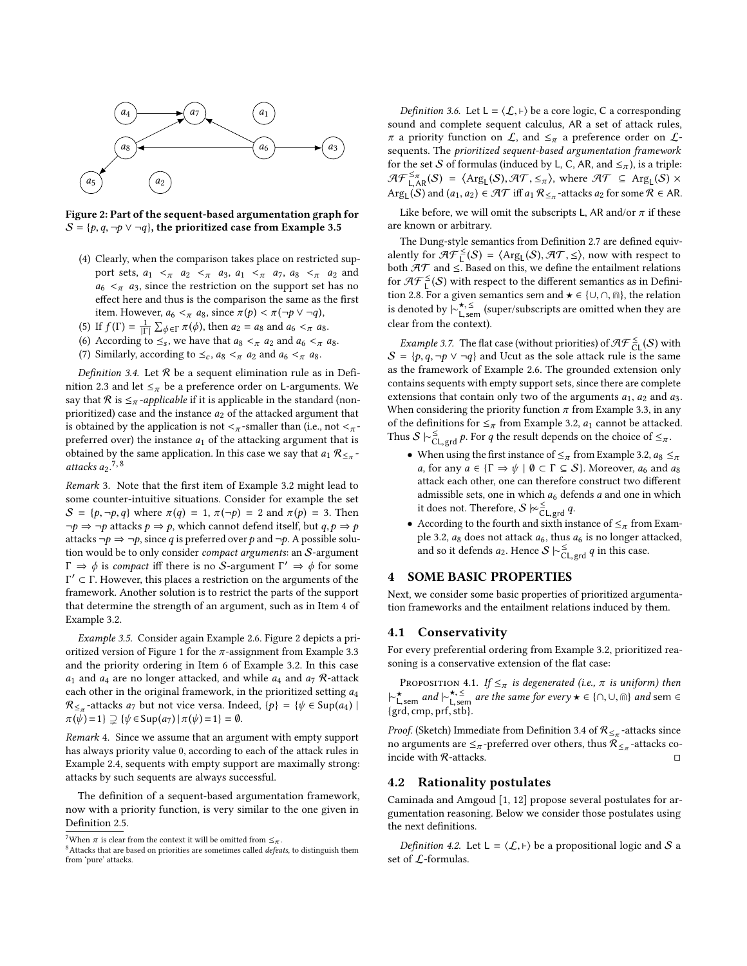<span id="page-3-4"></span>

Figure 2: Part of the sequent-based argumentation graph for  $S = \{p, q, \neg p \lor \neg q\}$ , the prioritized case from Example [3.5](#page-3-1)

- (4) Clearly, when the comparison takes place on restricted support sets,  $a_1 \lt_{\pi} a_2 \lt_{\pi} a_3$ ,  $a_1 \lt_{\pi} a_7$ ,  $a_8 \lt_{\pi} a_2$  and  $a_6 \leq \pi$  a<sub>3</sub>, since the restriction on the support set has no effect here and thus is the comparison the same as the first item. However,  $a_6 <_{\pi} a_8$ , since  $\pi(p) < \pi(\neg p \lor \neg q)$ ,
- (5) If  $f(\Gamma) = \frac{1}{|\Gamma|}$  $\frac{1}{|\Gamma|} \sum_{\phi \in \Gamma} \pi(\phi)$ , then  $a_2 = a_8$  and  $a_6 < \pi$  as.
- (6) According to  $\leq_s$ , we have that  $a_8 <_{\pi} a_2$  and  $a_6 <_{\pi} a_8$ .
- (7) Similarly, according to  $\leq_c$ ,  $a_8 <_{\pi} a_2$  and  $a_6 <_{\pi} a_8$ .

<span id="page-3-5"></span>Definition 3.4. Let  $R$  be a sequent elimination rule as in Defi-nition [2.3](#page-1-6) and let  $\leq_{\pi}$  be a preference order on L-arguments. We say that  $R$  is  $\leq_{\pi}$ -applicable if it is applicable in the standard (nonprioritized) case and the instance  $a_2$  of the attacked argument that is obtained by the application is not  $\lt_{\pi}$ -smaller than (i.e., not  $\lt_{\pi}$ preferred over) the instance  $a_1$  of the attacking argument that is obtained by the same application. In this case we say that  $a_1 \mathcal{R}_{\leq \pi}$  -<br>attacks as <sup>7</sup>, <sup>8</sup> attacks  $a_2$ .<sup>[7](#page-3-2),[8](#page-3-3)</sup>

Remark 3. Note that the first item of Example [3.2](#page-2-3) might lead to some counter-intuitive situations. Consider for example the set  $S = \{p, \neg p, q\}$  where  $\pi(q) = 1$ ,  $\pi(\neg p) = 2$  and  $\pi(p) = 3$ . Then  $\neg p \Rightarrow \neg p$  attacks  $p \Rightarrow p$ , which cannot defend itself, but  $q, p \Rightarrow p$ attacks ¬ $p$  ⇒ ¬ $p$ , since q is preferred over p and ¬ $p$ . A possible solution would be to only consider compact arguments: an S-argument  $\Gamma \Rightarrow \phi$  is compact iff there is no S-argument  $\Gamma' \Rightarrow \phi$  for some  $\Gamma' \subset \Gamma$ . However this places a restriction on the arguments of the Γ ′ ⊂ Γ. However, this places a restriction on the arguments of the framework. Another solution is to restrict the parts of the support that determine the strength of an argument, such as in Item 4 of Example [3.2.](#page-2-3)

<span id="page-3-1"></span>Example 3.5. Consider again Example [2.6.](#page-1-3) Figure [2](#page-3-4) depicts a pri-oritized version of Figure [1](#page-1-4) for the  $\pi$ -assignment from Example [3.3](#page-2-4) and the priority ordering in Item 6 of Example [3.2.](#page-2-3) In this case  $a_1$  and  $a_4$  are no longer attacked, and while  $a_4$  and  $a_7$  R-attack each other in the original framework, in the prioritized setting  $a_4$  $\mathcal{R}_{\leq \pi}$ -attacks  $a_7$  but not vice versa. Indeed,  $\{p\} = \{\psi \in \text{Sup}(a_4) \mid \pi(\psi) = 1\} \supset \{\psi \in \text{Sup}(a_4) \mid \pi(\psi) = 1\} = \emptyset$  $\pi(\psi) = 1$ }  $\supseteq {\psi \in \text{Sup}(a_7) | \pi(\psi) = 1} = \emptyset$ .

Remark 4. Since we assume that an argument with empty support has always priority value 0, according to each of the attack rules in Example [2.4,](#page-1-7) sequents with empty support are maximally strong: attacks by such sequents are always successful.

The definition of a sequent-based argumentation framework, now with a priority function, is very similar to the one given in Definition [2.5.](#page-1-8)

*Definition 3.6.* Let  $L = \langle \mathcal{L}, \vdash \rangle$  be a core logic, C a corresponding sound and complete sequent calculus, AR a set of attack rules,  $\pi$  a priority function on  $\mathcal{L}$ , and  $\leq_{\pi}$  a preference order on  $\mathcal{L}$ sequents. The prioritized sequent-based argumentation framework for the set S of formulas (induced by L, C, AR, and  $\leq_{\pi}$ ), is a triple:  $\mathcal{AF}^{\leq \pi}_{\text{LAR}}(S) = \langle \text{Arg}_{\text{L}}(S), \mathcal{AT}, \leq \pi \rangle$ , where  $\mathcal{AT} \subseteq \text{Arg}_{\text{L}}(S) \times$ <br>Arg. (S) and  $(a_1, a_2) \in \mathcal{AT}$  iff  $a_1 \mathcal{R}_{\leq}$  -attacks  $a_2$  for some  $\mathcal{R} \in \text{AR}$ Arg<sub>L</sub>(S) and  $(a_1, a_2) \in \mathcal{AT}$  iff  $a_1 \mathcal{R}_{\leq \pi}$ -attacks  $a_2$  for some  $\mathcal{R} \in \mathcal{AR}$ .

Like before, we will omit the subscripts L, AR and/or  $\pi$  if these are known or arbitrary.

The Dung-style semantics from Definition [2.7](#page-1-5) are defined equivalently for  $\mathcal{H}^{\leq}(S) = \langle \text{Arg}_{\mathsf{L}}(S), \mathcal{H}\mathcal{T}, \leq \rangle$ , now with respect to hoth  $\mathcal{H}\mathcal{T}$  and  $\leq$  Based on this we define the entailment relations both  $\mathcal{AT}$  and  $\leq$  Based on this, we define the entailment relations for  $\mathcal{AF}_{\mathsf{L}}^{\leq}(S)$  with respect to the different semantics as in Defini-tion [2.8.](#page-2-5) For a given semantics sem and  $\star \in \{\cup, \cap, \text{m}\}\text{, the relation}$ is denoted by  $\overline{\vdash}^{\star, \leq}_{\mathsf{I} \text{ sem}}$  (super/subscripts are omitted when they are is acholed by  $\Gamma_{\text{L,sem}}$  (s)<br>clear from the context).

<span id="page-3-6"></span>*Example 3.7.* The flat case (without priorities) of  $\mathcal{AF}_{CL}^{\leq}(S)$  with  $S = \{p, q, \neg p \lor \neg q\}$  and Ucut as the sole attack rule is the same as the framework of Example [2.6.](#page-1-3) The grounded extension only contains sequents with empty support sets, since there are complete extensions that contain only two of the arguments  $a_1$ ,  $a_2$  and  $a_3$ . When considering the priority function  $\pi$  from Example [3.3,](#page-2-4) in any of the definitions for  $\leq_{\pi}$  from Example [3.2,](#page-2-3)  $a_1$  cannot be attacked. Thus  $S \models_{\text{CL, grd}}^{\leq} p$ . For q the result depends on the choice of  $\leq_{\pi}$ .

- When using the first instance of  $\leq_{\pi}$  from Example [3.2,](#page-2-3)  $a_8 \leq_{\pi}$ a, for any  $a \in {\Gamma \Rightarrow \psi \mid \emptyset \subset \Gamma \subseteq \mathcal{S}}$ . Moreover,  $a_6$  and  $a_8$ attack each other, one can therefore construct two different admissible sets, one in which  $a_6$  defends  $a$  and one in which it does not. Therefore,  $S \not\sim_{\text{CL, grd}}^{\leq} q$ .
- According to the fourth and sixth instance of  $\leq_{\pi}$  from Exam-ple [3.2,](#page-2-3)  $a_8$  does not attack  $a_6$ , thus  $a_6$  is no longer attacked, and so it defends  $a_2$ . Hence  $S \vdash_{\mathsf{CL},\mathsf{grd}}^{\leq} q$  in this case.

# <span id="page-3-0"></span>4 SOME BASIC PROPERTIES

Next, we consider some basic properties of prioritized argumentation frameworks and the entailment relations induced by them.

#### 4.1 Conservativity

For every preferential ordering from Example [3.2,](#page-2-3) prioritized reasoning is a conservative extension of the flat case:

PROPOSITION 4.1. If  $\leq_{\pi}$  is degenerated (i.e.,  $\pi$  is uniform) then  $\vert \sim_{\text{L,sem}}^{\text{+}}$  and  $\vert \sim_{\text{L,sem}}^{\text{+}}$  are the same for every  $\star \in \{\cap, \cup, \text{in}\}$  and sem  $\in$ <sup>1</sup> L,sem <sup>ana</sup> I L,sem<br>{grd, cmp, prf, stb}.

*Proof.* (Sketch) Immediate from Definition [3.4](#page-3-5) of  $\mathcal{R}_{\leq \pi}$ -attacks since no arguments are  $\leq_{\pi}$ -preferred over others, thus  $\widehat{\mathcal{R}}_{\leq_{\pi}}$ -attacks coincide with  $\mathcal R$ -attacks.  $\Box$ 

# 4.2 Rationality postulates

[Caminada and Amgoud](#page-8-9) [\[1,](#page-8-8) [12\]](#page-8-9) propose several postulates for argumentation reasoning. Below we consider those postulates using the next definitions.

*Definition 4.2.* Let  $L = \langle \mathcal{L}, \vdash \rangle$  be a propositional logic and S a set of L-formulas.

<span id="page-3-2"></span><sup>&</sup>lt;sup>7</sup>When  $\pi$  is clear from the context it will be omitted from  $\leq_{\pi}$ .

<span id="page-3-3"></span> $8$ Attacks that are based on priorities are sometimes called *defeats*, to distinguish them from 'pure' attacks.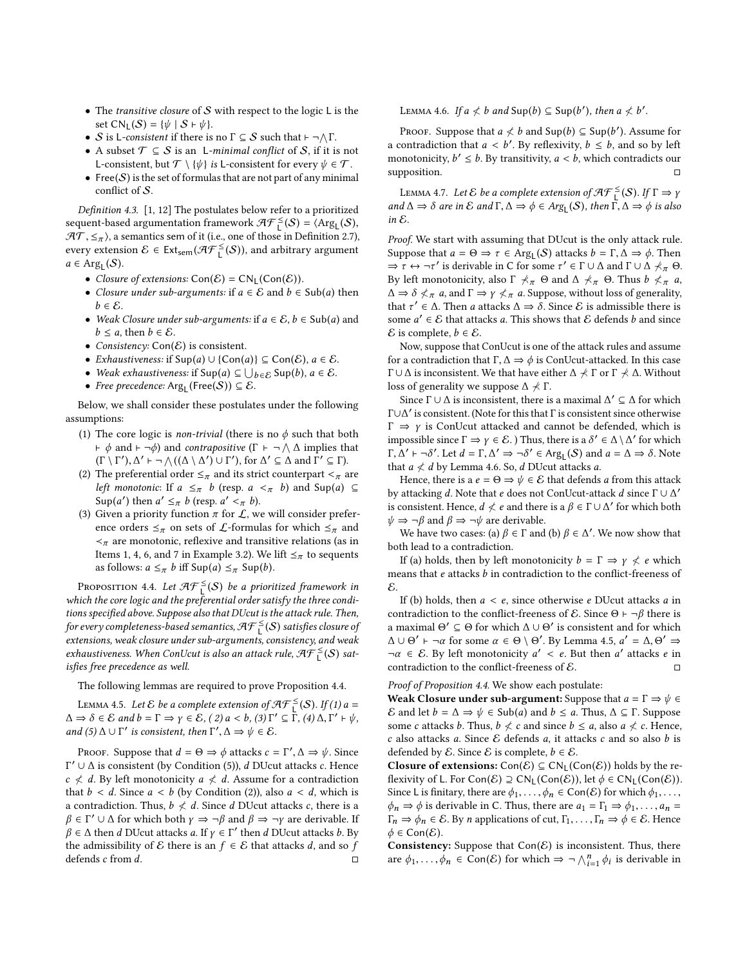- The transitive closure of  $S$  with respect to the logic L is the set  $CN_L(S) = \{ \psi \mid S \vdash \psi \}.$
- S is L-consistent if there is no  $\Gamma \subseteq S$  such that  $\vdash \neg \wedge \Gamma$ .
- A subset  $\mathcal{T} \subseteq \mathcal{S}$  is an L-minimal conflict of  $\mathcal{S}$ , if it is not L-consistent, but  $\mathcal{T} \setminus \{ \psi \}$  is L-consistent for every  $\psi \in \mathcal{T}$ .
- Free $(S)$  is the set of formulas that are not part of any minimal conflict of S.

Definition 4.3. [\[1,](#page-8-8) [12\]](#page-8-9) The postulates below refer to a prioritized sequent-based argumentation framework  $\mathcal{AF}_{\mathsf{L}}^{\leq}(S) = \langle \mathrm{Arg}_{\mathsf{L}}(S), \mathcal{AF}_{\mathsf{L}}(S), \mathcal{AF}_{\mathsf{L}}(S), \mathcal{AF}_{\mathsf{L}}(S), \mathcal{AF}_{\mathsf{L}}(S), \mathcal{AF}_{\mathsf{L}}(S), \mathcal{AF}_{\mathsf{L}}(S), \mathcal{AF}_{\mathsf{L}}(S), \mathcal{AF}_{\mathsf{L}}(S), \mathcal{AF}_{\mathsf{L}}(S), \mathcal{AF}_{\mathsf{L$  $\mathcal{AT}, \leq_{\pi}$ , a semantics sem of it (i.e., one of those in Definition [2.7\)](#page-1-5), every extension  $\mathcal{E} \in \text{Ext}_{sem}(\mathcal{AF}_{L}^{\leq}(S))$ , and arbitrary argument  $a \in \text{Arg}_{\mathsf{L}}(\mathcal{S}).$ 

- Closure of extensions:  $Con(\mathcal{E}) = CN_L(Con(\mathcal{E}))$ .
- Closure under sub-arguments: if  $a \in \mathcal{E}$  and  $b \in Sub(a)$  then  $b \in \mathcal{E}$ .
- Weak Closure under sub-arguments: if  $a \in \mathcal{E}$ ,  $b \in Sub(a)$  and  $b \leq a$ , then  $b \in \mathcal{E}$ .
- Consistency:  $Con(E)$  is consistent.
- *Exhaustiveness:* if  $Sup(a) ∪ {Con(a)} ⊆ Con(E), a ∈ E$ .
- Weak exhaustiveness: if  $\text{Sup}(a) \subseteq \bigcup_{b \in \mathcal{E}} \text{Sup}(b), a \in \mathcal{E}$ .<br>• Free precedence: Arg. (Free(S))  $\subset \mathcal{E}$ .
- Free precedence:  $Arg_L(Free(S)) \subseteq \mathcal{E}$ .

Below, we shall consider these postulates under the following assumptions:

- (1) The core logic is *non-trivial* (there is no  $\phi$  such that both  $\vdash \phi$  and  $\vdash \neg \phi$ ) and *contrapositive*  $(\Gamma \vdash \neg \wedge \Delta$  implies that  $(\Gamma \setminus \Gamma')$ ,  $\Delta' \vdash \neg \wedge ((\Delta \setminus \Delta') \cup \Gamma')$ , for  $\Delta' \subseteq \Delta$  and  $\Gamma' \subseteq \Gamma$ ).<br>The preferential order  $\leq \neg$  and its strict counterpart  $\leq \neg \Box$
- (2) The preferential order  $\leq_{\pi}$  and its strict counterpart  $\leq_{\pi}$  are *left monotonic*: If  $a \leq_{\pi} b$  (resp.  $a \lt_{\pi} b$ ) and Sup(a)  $\subseteq$ Sup(a') then  $a' \leq_{\pi} b$  (resp.  $a' <_{\pi} b$ ).<br>Given a priority function  $\pi$  for  $f$ , w
- (3) Given a priority function  $\pi$  for  $\mathcal{L}$ , we will consider preference orders  $\leq_{\pi}$  on sets of  $\mathcal{L}$ -formulas for which  $\leq_{\pi}$  and  $\prec_\pi$  are monotonic, reflexive and transitive relations (as in Items 1, 4, 6, and 7 in Example [3.2\)](#page-2-3). We lift  $\leq_{\pi}$  to sequents as follows:  $a \leq_{\pi} b$  iff Sup(a)  $\leq_{\pi}$  Sup(b).

<span id="page-4-0"></span>PROPOSITION 4.4. Let  $\mathcal{AF}_{\perp}^{\leq}(S)$  be a prioritized framework in which the core logic and the preferential order satisfy the three conditions specified above. Suppose also that DUcut is the attack rule. Then, for every completeness-based semantics, AF  $_{\mathsf{L}}^{\leq}(\mathcal{S})$  satisfies closure of extensions, weak closure under sub-arguments, consistency, and weak exhaustiveness. When ConUcut is also an attack rule,  $\mathcal{AF}_{L}^{\leq}(S)$  satisfies free precedence as well.

The following lemmas are required to prove Proposition [4.4.](#page-4-0)

<span id="page-4-2"></span>LEMMA 4.5. Let  $\mathcal E$  be a complete extension of  $\mathcal{AF}_{\mathsf{L}}^{\leq}(\mathcal{S})$ . If  $(1)$  a  $\Rightarrow$   $\mathcal{S} \subset \mathcal{E}$  and  $\mathsf{L} \subset \Gamma$   $\Rightarrow$   $\mathsf{V} \subset \mathcal{E}$   $(\mathcal{S})$  a  $\leq$   $\mathsf{L} \setminus \{3\}$ ,  $\Gamma' \subset \Gamma$   $(\mathcal{A})$   $\mathsf{A}$ ,  $\Gamma' \cup \mathsf$  $\Delta \Rightarrow \delta \in \mathcal{E}$  and  $b = \Gamma \Rightarrow \gamma \in \mathcal{E}$ ,  $(2) a < b$ ,  $(3) \Gamma' \subseteq \Gamma$ ,  $(4) \Delta, \Gamma' \vdash \psi$ ,<br>and  $(5) \Delta \sqcup \Gamma'$  is consistent, then  $\Gamma' \Delta \rightarrow \psi \in \mathcal{E}$ . and  $(5)$   $\Delta \cup \Gamma'$  is consistent, then  $\Gamma', \Delta \Rightarrow \psi \in \mathcal{E}$ .

<span id="page-4-1"></span>Proof. Suppose that  $d = \Theta \Rightarrow \phi$  attacks  $c = \Gamma', \Delta \Rightarrow \psi$ . Since  $Γ' ∪ ∆$  is consistent (by Condition (5)), *d* DUcut attacks *c*. Hence  $c \nless d$ . By left monotonicity  $a \nless d$ . Assume for a contradiction that  $b < d$ . Since  $a < b$  (by Condition (2)), also  $a < d$ , which is a contradiction. Thus,  $b \nless d$ . Since d DUcut attacks c, there is a  $\beta \in \Gamma' \cup \Delta$  for which both  $\gamma \Rightarrow \neg \beta$  and  $\beta \Rightarrow \neg \gamma$  are derivable. If  $\beta \in \Delta$  then d DUcut attacks h By  $\beta \in \Delta$  then d DUcut attacks a. If  $\gamma \in \Gamma'$  then d DUcut attacks b. By the admissibility of  $\epsilon$ , there is an  $f \in \mathcal{E}$  that attacks d and so f the admissibility of *E* there is an *f* ∈ *E* that attacks *d*, and so *f* defends *c* from *d*.  $\Box$ defends  $c$  from  $d$ .

LEMMA 4.6. If  $a \nless b$  and  $\textsf{Sup}(b) \subseteq \textsf{Sup}(b')$ , then  $a \nless b'$ .

PROOF. Suppose that  $a \neq b$  and Sup(b)  $\subseteq$  Sup(b'). Assume for contradiction that  $a \leq b'$ . By reflexivity  $b \leq b$  and so by left a contradiction that  $a < b'$ . By reflexivity,  $b \le b$ , and so by left<br>monotonicity,  $b' < b$ . By transitivity,  $a < b$ , which contradicts our monotonicity,  $b' \leq b$ . By transitivity,  $a < b$ , which contradicts our supposition supposition.  $\Box$ 

<span id="page-4-3"></span>LEMMA 4.7. Let  $\mathcal E$  be a complete extension of  $\mathcal{AF}_{\mathsf{L}}^{\leq}(\mathcal{S})$ . If  $\Gamma \Rightarrow \gamma$ <br>d  $\Lambda \to \delta$  are in  $\mathcal E$  and  $\Gamma$   $\Lambda \to \phi \in \mathcal{AF}_{\mathsf{L}}(\mathcal{S})$ , then  $\Gamma$   $\Lambda \to \phi$  is also and  $\Delta \Rightarrow \delta$  are in  $\mathcal E$  and  $\Gamma, \Delta \Rightarrow \phi \in \text{Arg}_{\mathsf{L}}(\mathcal S)$ , then  $\Gamma, \Delta \Rightarrow \phi$  is also in  $\mathcal E$ in E.

Proof. We start with assuming that DUcut is the only attack rule. Suppose that  $a = \Theta \Rightarrow \tau \in \text{Arg}_{\mathsf{L}}(\mathcal{S})$  attacks  $b = \Gamma, \Delta \Rightarrow \phi$ . Then  $\Rightarrow \tau \leftrightarrow \tau \tau'$  is derivable in C for some  $\tau' \in \Gamma \cup \Delta$  and  $\Gamma \cup \Delta \neq \Theta$  $\Rightarrow \tau \leftrightarrow \neg \tau'$  is derivable in C for some  $\tau' \in \Gamma \cup \Delta$  and  $\Gamma \cup \Delta \nprec \pi$   $\Theta$ .<br>By left monotonicity, also  $\Gamma \nprec \Theta$  and  $\Delta \nprec \Theta$ . Thus  $\flat \nprec \pi$ , a By left monotonicity, also  $\Gamma \nprec_{\pi} \Theta$  and  $\Delta \nprec_{\pi} \Theta$ . Thus  $b \nprec_{\pi} a$ ,  $\Delta \Rightarrow \delta \nless \pi$  a, and  $\Gamma \Rightarrow \gamma \nless \pi$  a. Suppose, without loss of generality, that  $\tau' \in \Delta$ . Then a attacks  $\Delta \Rightarrow \delta$ . Since E is admissible there is some  $a' \in \mathcal{E}$  that attacks a. This shows that E defends h and since some  $a' \in \mathcal{E}$  that attacks a. This shows that  $\mathcal{E}$  defends b and since  $\mathcal{E}$  is complete  $b \in \mathcal{E}$  $\mathcal E$  is complete,  $b \in \mathcal E$ .

Now, suppose that ConUcut is one of the attack rules and assume for a contradiction that  $\Gamma, \Delta \Rightarrow \phi$  is ConUcut-attacked. In this case  $Γ ∪ ∆$  is inconsistent. We that have either  $∆ \nprec$  Γ or Γ  $\nprec$  Δ. Without loss of generality we suppose  $\Delta \nmid \Gamma$ .

Since  $\Gamma \cup \Delta$  is inconsistent, there is a maximal  $\Delta' \subseteq \Delta$  for which  $\Gamma ∪ ∆'$  is consistent. (Note for this that  $Γ$  is consistent since otherwise  $\Gamma \Rightarrow \gamma$  is ConUcut attacked and cannot be defended, which is impossible since  $\Gamma \Rightarrow \gamma \in \mathcal{E}$ .) Thus, there is a  $\delta' \in \Delta \setminus \Delta'$  for which  $\Gamma \circ \Delta' = \delta' \cup \delta' = \delta' \in \mathcal{E}$ .  $\Gamma$ ,  $\hat{\Delta}'$  ⊢ ¬δ'. Let  $d = \Gamma$ ,  $\Delta' \Rightarrow \neg \delta' \in \text{Arg}_{\mathsf{L}}(\mathcal{S})$  and  $a = \Delta \Rightarrow \delta$ . Note that  $a \nless d$  by Lemma [4.6.](#page-4-1) So, d DUcut attacks a.

Hence, there is a  $e = \Theta \Rightarrow \psi \in \mathcal{E}$  that defends a from this attack by attacking d. Note that e does not ConUcut-attack d since  $\Gamma \cup \Delta'$ <br>is consistent. Hence  $d \neq e$  and there is a  $\beta \in \Gamma \cup \Delta'$  for which both is consistent. Hence,  $d \nless e$  and there is a  $\beta \in \Gamma \cup \Delta'$  for which both  $\psi \rightarrow -\beta$  and  $\beta \rightarrow -\psi$  are derivable  $\psi \Rightarrow \neg \beta$  and  $\beta \Rightarrow \neg \psi$  are derivable.

We have two cases: (a)  $\beta \in \Gamma$  and (b)  $\beta \in \Delta'$ . We now show that the lead to a contradiction both lead to a contradiction.

If (a) holds, then by left monotonicity  $b = \Gamma \Rightarrow y \not\leq e$  which means that e attacks b in contradiction to the conflict-freeness of E.

If (b) holds, then  $a < e$ , since otherwise  $e$  DUcut attacks  $a$  in contradiction to the conflict-freeness of  $\mathcal E$ . Since  $\Theta \vdash \neg \beta$  there is a maximal  $Θ' ⊆ Θ$  for which  $∆ ∪ Θ'$  is consistent and for which  $\Delta \cup \Theta' \vdash \neg \alpha$  for some  $\alpha \in \Theta \setminus \Theta'$ . By Lemma [4.5,](#page-4-2)  $a' = \Delta, \Theta' \Rightarrow$ <br> $\neg \alpha \in \mathcal{E}$ . By left monotonicity  $a' < e$ . But then  $a'$  attacks e in  $\neg \alpha \in \mathcal{E}$ . By left monotonicity  $a' < e$ . But then  $a'$  attacks  $e$  in contradiction to the conflict-freeness of  $\mathcal{E}$ contradiction to the conflict-freeness of  $\mathcal{E}$ . □

Proof of Proposition [4.4.](#page-4-0) We show each postulate:

Weak Closure under sub-argument: Suppose that  $a = \Gamma \Rightarrow \psi \in \mathbb{R}$  $\mathcal E$  and let  $b = \Delta \Rightarrow \psi \in Sub(a)$  and  $b \le a$ . Thus,  $\Delta \subseteq \Gamma$ . Suppose some c attacks b. Thus,  $b \nleq c$  and since  $b \leq a$ , also  $a \nleq c$ . Hence,  $c$  also attacks  $a$ . Since  $\mathcal E$  defends  $a$ , it attacks  $c$  and so also  $b$  is defended by E. Since E is complete,  $b \in \mathcal{E}$ .

Closure of extensions:  $Con(\mathcal{E}) \subseteq CN_L(Con(\mathcal{E}))$  holds by the reflexivity of L. For Con( $\mathcal{E}$ )  $\supseteq CN_L(Con(\mathcal{E}))$ , let  $\phi \in CN_L(Con(\mathcal{E}))$ . Since L is finitary, there are  $\phi_1, \ldots, \phi_n \in \text{Con}(\mathcal{E})$  for which  $\phi_1, \ldots,$  $\phi_n \Rightarrow \phi$  is derivable in C. Thus, there are  $a_1 = \Gamma_1 \Rightarrow \phi_1, \dots, a_n =$  $\Gamma_n \Rightarrow \phi_n \in \mathcal{E}$ . By *n* applications of cut,  $\Gamma_1, \dots, \Gamma_n \Rightarrow \phi \in \mathcal{E}$ . Hence  $\phi \in \textsf{Con}(\mathcal{E})$ .

Consistency: Suppose that  $Con(\mathcal{E})$  is inconsistent. Thus, there are  $\phi_1, \ldots, \phi_n \in \text{Con}(\mathcal{E})$  for which  $\Rightarrow \neg \bigwedge_{i=1}^n \phi_i$ is derivable in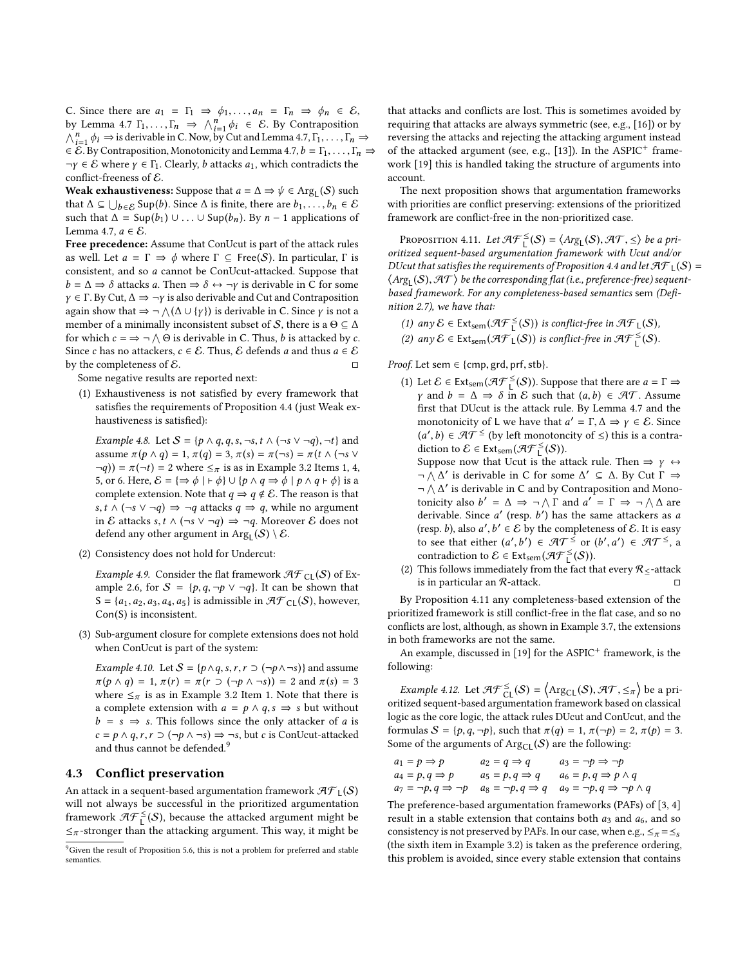C. Since there are  $a_1 = \Gamma_1 \Rightarrow \phi_1, \ldots, a_n = \Gamma_n \Rightarrow \phi_n \in \mathcal{E}$ , by Lemma [4.7](#page-4-3)  $\Gamma_1, \ldots, \Gamma_n \implies \bigwedge_{i=1}^n \phi_i \in \mathcal{E}$ . By Contraposition  $\bigwedge^n$ ,  $\phi_i \implies$  is derivable in C. Now, by Cut and Lemma 4.7.  $\Gamma_1, \ldots, \Gamma_n$  $\bigwedge_{i=1}^{n} \phi_i \Rightarrow$  is derivable in C. Now, by Cut and Lemma [4.7,](#page-4-3)  $\Gamma_1, \ldots, \Gamma_n \Rightarrow$ <br> $\in E$ . By Contraposition, Monotonicity and Lemma 4.7,  $b = \Gamma_1, \ldots, \Gamma_n =$  $\in \mathcal{E}$ . By Contraposition, Monotonicity and Lemma [4.7,](#page-4-3)  $b = \Gamma_1, \ldots, \Gamma_n$  $\neg \gamma \in \mathcal{E}$  where  $\gamma \in \Gamma_1$ . Clearly, b attacks  $a_1$ , which contradicts the conflict-freeness of E.

Weak exhaustiveness: Suppose that  $a = \Delta \Rightarrow \psi \in \text{Arg}_L(S)$  such that  $\Delta \subseteq \Box$  as Suppose  $\Delta$  is finite there are  $b = \overline{S} \in \mathbb{R}$ that  $\Delta \subseteq \bigcup_{b \in \mathcal{E}} \text{Sup}(b)$ . Since  $\Delta$  is finite, there are  $b_1, \ldots, b_n \in \mathcal{E}$ <br>such that  $\Delta = \text{Sup}(b_1) \cup \ldots \cup \text{Sup}(b_n)$ . By  $n - 1$  applications of such that  $\Delta$  = Sup( $b_1$ ) ∪ ... ∪ Sup( $b_n$ ). By  $n-1$  applications of Lemma [4.7,](#page-4-3)  $a \in \mathcal{E}$ .

Free precedence: Assume that ConUcut is part of the attack rules as well. Let  $a = \Gamma \Rightarrow \phi$  where  $\Gamma \subseteq \text{Free}(S)$ . In particular,  $\Gamma$  is consistent, and so a cannot be ConUcut-attacked. Suppose that  $b = \Delta \Rightarrow \delta$  attacks a. Then  $\Rightarrow \delta \leftrightarrow \neg \gamma$  is derivable in C for some  $\gamma \in \Gamma$ . By Cut,  $\Delta \Rightarrow \neg \gamma$  is also derivable and Cut and Contraposition again show that  $\Rightarrow \neg \wedge (\Delta \cup \{ \gamma \})$  is derivable in C. Since  $\gamma$  is not a member of a minimally inconsistent subset of S, there is a  $\Theta \subset \Delta$ member of a minimally inconsistent subset of S, there is a  $\Theta \subseteq \Delta$ for which  $c = \Rightarrow \neg \wedge \Theta$  is derivable in C. Thus, b is attacked by c.<br>Since c has no attackers  $c \in \mathcal{E}$ . Thus,  $\mathcal{E}$  defends a and thus  $a \in \mathcal{E}$ . Since *c* has no attackers, *c* ∈ *E*. Thus, *E* defends *a* and thus *a* ∈ *E* by the completeness of *E*. by the completeness of  $\mathcal{E}$ .

Some negative results are reported next:

(1) Exhaustiveness is not satisfied by every framework that satisfies the requirements of Proposition [4.4](#page-4-0) (just Weak exhaustiveness is satisfied):

Example 4.8. Let  $S = \{p \land q, q, s, \neg s, t \land (\neg s \lor \neg q), \neg t\}$  and assume  $\pi(p \wedge q) = 1$ ,  $\pi(q) = 3$ ,  $\pi(s) = \pi(\neg s) = \pi(t \wedge (\neg s \vee$  $\neg q$ )) =  $\pi(\neg t)$  = 2 where  $\leq_{\pi}$  is as in Example [3.2](#page-2-3) Items 1, 4, 5, or 6. Here,  $\mathcal{E} = \{\Rightarrow \phi \mid \vdash \phi\} \cup \{p \land q \Rightarrow \phi \mid p \land q \vdash \phi\}$  is a complete extension. Note that  $q \Rightarrow q \notin \mathcal{E}$ . The reason is that s,  $t \wedge (\neg s \vee \neg q) \Rightarrow \neg q$  attacks  $q \Rightarrow q$ , while no argument in E attacks s,  $t \wedge (\neg s \vee \neg q) \Rightarrow \neg q$ . Moreover E does not defend any other argument in  $\mathrm{Arg}_{L}(\mathcal{S})\setminus \mathcal{E}.$ 

(2) Consistency does not hold for Undercut:

*Example 4.9.* Consider the flat framework  $\mathcal{AF}_{CL}(S)$  of Ex-ample [2.6,](#page-1-3) for  $S = \{p, q, \neg p \lor \neg q\}$ . It can be shown that  $S = \{a_1, a_2, a_3, a_4, a_5\}$  is admissible in  $\mathcal{HF}_{CL}(S)$ , however, Con(S) is inconsistent.

(3) Sub-argument closure for complete extensions does not hold when ConUcut is part of the system:

*Example 4.10.* Let  $S = \{p \land q, s, r, r \supset (\neg p \land \neg s)\}$  and assume  $\pi(p \wedge q) = 1$ ,  $\pi(r) = \pi(r \supset (\neg p \wedge \neg s)) = 2$  and  $\pi(s) = 3$ where  $\leq_{\pi}$  is as in Example [3.2](#page-2-3) Item 1. Note that there is a complete extension with  $a = p \land q$ ,  $s \Rightarrow s$  but without  $b = s \Rightarrow s$ . This follows since the only attacker of a is  $c = p \land q, r, r \supset (\neg p \land \neg s) \Rightarrow \neg s$ , but c is ConUcut-attacked and thus cannot be defended.<sup>[9](#page-5-0)</sup>

# 4.3 Conflict preservation

An attack in a sequent-based argumentation framework  $\mathcal{AF}_{L}(S)$ will not always be successful in the prioritized argumentation framework  $\mathcal{AF}_{L}^{\leq}(S)$ , because the attacked argument might be  $\leq_{\pi}$ -stronger than the attacking argument. This way, it might be that attacks and conflicts are lost. This is sometimes avoided by requiring that attacks are always symmetric (see, e.g., [\[16\]](#page-8-21)) or by reversing the attacks and rejecting the attacking argument instead of the attacked argument (see, e.g., [\[13\]](#page-8-6)). In the  $ASPIC<sup>+</sup>$  framework [\[19\]](#page-8-7) this is handled taking the structure of arguments into account.

The next proposition shows that argumentation frameworks with priorities are conflict preserving: extensions of the prioritized framework are conflict-free in the non-prioritized case.

<span id="page-5-1"></span>PROPOSITION 4.11. Let  $\mathcal{H}^{\leq}_{\Gamma}(\mathcal{S}) = \langle \text{Arg}_{\Gamma}(\mathcal{S}), \mathcal{H}\mathcal{T}, \leq \rangle$  be a pri-<br>tized sequent-based argumentation framework with Ucut and/or oritized sequent-based argumentation framework with Ucut and/or DUcut that satisfies the requirements of Proposition [4.4](#page-4-0) and let  $\mathcal{AF}_{\mathsf{L}}(\mathcal{S}) =$  $\langle \text{Arg}_{\mathsf{L}}(\mathcal{S}), \mathcal{A}\mathcal{T} \rangle$  be the corresponding flat (i.e., preference-free) sequent-<br>hased framework, for any completeness-hased semantics som (Defibased framework. For any completeness-based semantics sem (Definition [2.7\)](#page-1-5), we have that:

- (1) any  $\mathcal{E} \in \text{Ext}_{sem}(\mathcal{AF}^{\leq}_L(\mathcal{S}))$  is conflict-free in  $\mathcal{AF}_L(\mathcal{S})$ ,
- (2) any  $\mathcal{E} \in \text{Ext}_{sem}(\mathcal{AF}_{L}(S))$  is conflict-free in  $\mathcal{AF}_{L}^{\leq}(S)$ .

*Proof.* Let sem  $\in$  {cmp, grd, prf, stb}.

(1) Let  $\mathcal{E} \in \text{Ext}_{\text{sem}}(\mathcal{H}\mathcal{F}^{\leq}_{\text{L}}(\mathcal{S}))$ . Suppose that there are  $a = \Gamma \Rightarrow$ <br>y and  $b = \Delta \Rightarrow \delta$  in  $\mathcal{E}$  such that  $(a, b) \in \mathcal{H}\mathcal{T}$ . Assume *γ* and *b* =  $\Delta$  ⇒ *δ* in *E* such that  $(a, b)$  ∈  $\mathcal{AT}$ . Assume first that DUcut is the attack rule. By Lemma [4.7](#page-4-3) and the monotonicity of L we have that  $a' = \Gamma, \Delta \Rightarrow \gamma \in \mathcal{E}$ . Since  $(a' | b) \in \mathcal{A} \mathcal{T} \leq ($  by left monotonicity of  $\leq$ ) this is a contra- $(a', b) \in \mathcal{AT}^{\leq}$  (by left monotoncity of  $\leq$ ) this is a contra-<br>diction to  $\mathcal{E} \in \text{Ext}$   $(a \mathcal{F}^{\leq}(\mathcal{S}))$ diction to  $\mathcal{E} \in \text{Ext}_{\text{sem}}(\mathcal{AF}^{\leq}_{\mathsf{L}}(\mathcal{S}))$ .

Suppose now that Ucut is the attack rule. Then  $\Rightarrow \gamma \leftrightarrow \infty$  $\neg \bigwedge^{\bullet} \Delta'$  is derivable in C for some  $\Delta' \subseteq \Delta$ . By Cut  $\Gamma \Rightarrow$  $\neg \wedge \Delta'$  is derivable in C and by Contraposition and Monotonicity also  $b' = \Delta \Rightarrow \neg \wedge \Gamma$  and  $a' = \Gamma \Rightarrow \neg \wedge \Delta$  are<br>derivable. Since a' (resp. b') has the same attackers as a derivable. Since a' (resp. b') has the same attackers as a  $a$  (resp. b) also a', b'  $\in \mathcal{E}$  by the completeness of  $\mathcal{E}$ . It is easy (resp. b), also  $a', b' \in \mathcal{E}$  by the completeness of  $\mathcal{E}$ . It is easy to see that either  $(a', b') \in \mathcal{AT} \leq$  or  $(b', a') \in \mathcal{AT} \leq$  or to see that either  $(a', b') \in \mathcal{AT}^{\leq}$  or  $(b'$ <br>contradiction to  $\mathcal{E} \in \mathsf{Fxt}$   $(\mathcal{AF}^{\leq}(S))$ contradiction to  $\mathcal{E} \in \text{Ext}_{sem}(\mathcal{AF}_{\mathsf{L}}^{\leq}(\mathcal{S}))$ .  $\overline{a}$  $\prime$ )  $\in$  AT<sup> $\leq$ </sup>, a

(2) This follows immediately from the fact that every  $\mathcal{R}_\leq$ -attack is in particular an  $\mathcal{R}$ -attack.  $\Box$ 

By Proposition [4.11](#page-5-1) any completeness-based extension of the prioritized framework is still conflict-free in the flat case, and so no conflicts are lost, although, as shown in Example [3.7,](#page-3-6) the extensions in both frameworks are not the same.

An example, discussed in [\[19\]](#page-8-7) for the  $ASPIC<sup>+</sup>$  framework, is the following:

Example 4.12. Let  $\mathcal{H}\mathcal{F}_{\subseteq L}^{\leq}(S) = \left\langle \text{Arg}_{CL}(S), \mathcal{H}\mathcal{T}, \leq_{\pi} \right\rangle$  be a pri-<br>tized sequent based argumentation framework based on eleccical oritized sequent-based argumentation framework based on classical logic as the core logic, the attack rules DUcut and ConUcut, and the formulas  $S = \{p, q, \neg p\}$ , such that  $\pi(q) = 1$ ,  $\pi(\neg p) = 2$ ,  $\pi(p) = 3$ . Some of the arguments of  $Arg_{CL}(S)$  are the following:

$$
a_1 = p \Rightarrow p \qquad a_2 = q \Rightarrow q \qquad a_3 = \neg p \Rightarrow \neg p
$$
  
\n
$$
a_4 = p, q \Rightarrow p \qquad a_5 = p, q \Rightarrow q \qquad a_6 = p, q \Rightarrow p \land q
$$
  
\n
$$
a_7 = \neg p, q \Rightarrow \neg p \qquad a_8 = \neg p, q \Rightarrow q \qquad a_9 = \neg p, q \Rightarrow \neg p \land q
$$
  
\nThe preference-based argumentation frameworks (PAFs) of [3, 4]

result in a stable extension that contains both  $a_3$  and  $a_6$ , and so consistency is not preserved by PAFs. In our case, when e.g.,  $\leq_{\pi} = \leq_{s}$ (the sixth item in Example [3.2\)](#page-2-3) is taken as the preference ordering, this problem is avoided, since every stable extension that contains

<span id="page-5-0"></span><sup>&</sup>lt;sup>9</sup>Given the result of Proposition [5.6,](#page-6-1) this is not a problem for preferred and stable semantics.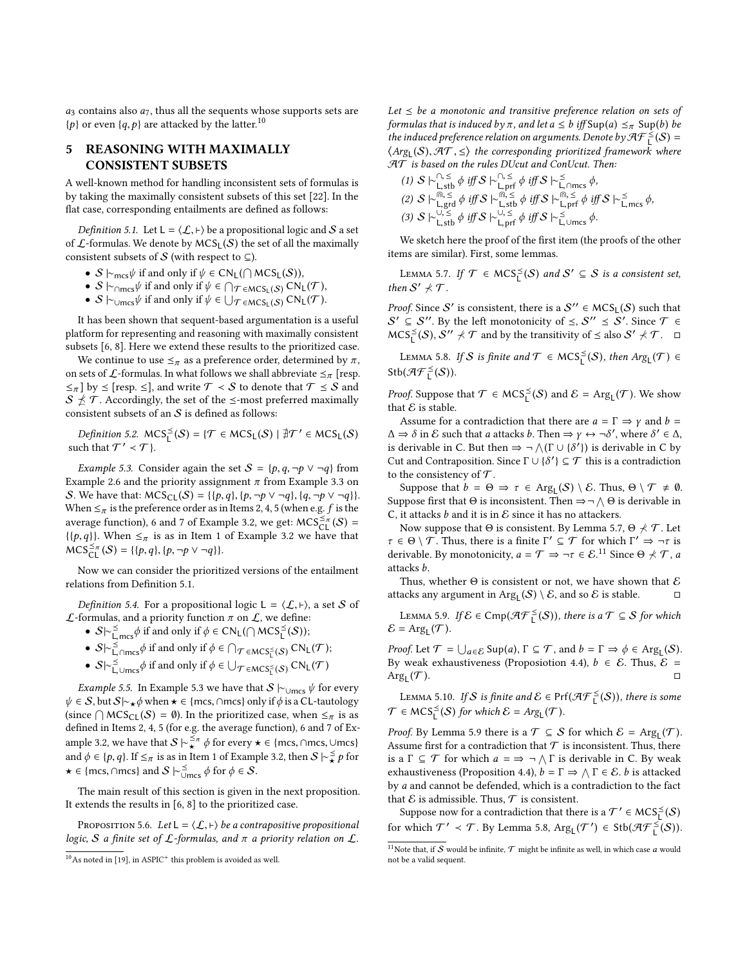$a_3$  contains also  $a_7$ , thus all the sequents whose supports sets are  $\{p\}$  or even  $\{q, p\}$  are attacked by the latter.<sup>[10](#page-6-2)</sup>

# <span id="page-6-0"></span>5 REASONING WITH MAXIMALLY CONSISTENT SUBSETS

A well-known method for handling inconsistent sets of formulas is by taking the maximally consistent subsets of this set [\[22\]](#page-8-12). In the flat case, corresponding entailments are defined as follows:

<span id="page-6-3"></span>*Definition 5.1.* Let  $L = \langle \mathcal{L}, \vdash \rangle$  be a propositional logic and S a set of  $\mathcal{L}$ -formulas. We denote by MCS<sub>L</sub>(S) the set of all the maximally consistent subsets of S (with respect to  $\subseteq$ ).

- $S \models_{\text{mcs}} \psi$  if and only if  $\psi \in CN_L(\bigcap_{\text{MCS}_L}(S))$ ,
- $S \models_{\text{Conres}} \psi \text{ if and only if } \psi \in \bigcap_{T \in \text{MCS}_L(S)} \text{CN}_L(T)$
- $S \vdash_{\cup \text{mcs}} \psi$  if and only if  $\psi \in \bigcup_{\mathcal{T} \in \text{MCS}_L(S)} \text{CN}_L(\mathcal{T})$ .

It has been shown that sequent-based argumentation is a useful platform for representing and reasoning with maximally consistent subsets [\[6,](#page-8-10) [8\]](#page-8-11). Here we extend these results to the prioritized case.

We continue to use  $\leq_{\pi}$  as a preference order, determined by  $\pi$ , on sets of  $\mathcal L$ -formulas. In what follows we shall abbreviate  $\leq_{\pi}$  [resp.  $\leq_{\pi}$ ] by  $\leq$  [resp.  $\leq$ ], and write  $\mathcal{T} < S$  to denote that  $\mathcal{T} \leq S$  and  $S \npreceq \mathcal{T}$ . Accordingly, the set of the  $\leq$ -most preferred maximally consistent subsets of an  $S$  is defined as follows:

Definition 5.2.  $MCS_{L}^{<}(S) = \{ \mathcal{T} \in MCS_{L}(S) \mid \exists \mathcal{T}' \in MCS_{L}(S) \}$ such that  $\mathcal{T}' \prec \mathcal{T}$  }.

<span id="page-6-4"></span>*Example 5.3.* Consider again the set  $S = \{p, q, \neg p \lor \neg q\}$  from Example [2.6](#page-1-3) and the priority assignment  $\pi$  from Example [3.3](#page-2-4) on S. We have that:  $MCS_{CL}(S) = \{ \{p,q\}, \{p,\neg p \lor \neg q\}, \{q,\neg p \lor \neg q\} \}.$ When  $\leq_{\pi}$  is the preference order as in Items 2, 4, 5 (when e.g. *f* is the average function), 6 and 7 of Example [3.2,](#page-2-3) we get:  $MCS_{CL}^{\leq \pi}(S)$  =  $\{\{p,q\}\}\$ . When  $\leq_{\pi}$  is as in Item 1 of Example [3.2](#page-2-3) we have that  $\widehat{\text{MCS}}_{\text{CL}}^{\leq \pi}(\mathcal{S}) = \{ \{p, q\}, \{p, \neg p \lor \neg q \} \}.$ 

Now we can consider the prioritized versions of the entailment relations from Definition [5.1.](#page-6-3)

*Definition 5.4.* For a propositional logic  $L = \langle \mathcal{L}, \vdash \rangle$ , a set S of  $\mathcal L$ -formulas, and a priority function  $\pi$  on  $\mathcal L$ , we define:

- $S \rvert \rvert_{\text{mcs}}^2 \phi$  if and only if  $\phi \in CN_L(\bigcap {\sf MCS}_L^{\leq}(S))$ ;
- S|∼ <sub>L,mcs</sub> φ if and only if  $\phi \in C_1C_1$  | MCS<sub>L</sub> (S),<br>
 S|∼ <sub>L</sub>,∩mcs φ if and only if  $\phi \in \bigcap_{\mathcal{T} \in \mathsf{MCS}_L^{\leq}} (S)$  CN<sub>L</sub>(T);
- $S \sim \sum_{\text{L,UMcs}}^S \phi$  if and only if  $\phi \in \bigcup_{\mathcal{T} \in MCS_{\mathsf{L}}^S(S)} \text{CN}_{\mathsf{L}}(\mathcal{T})$

*Example 5.5.* In Example [5.3](#page-6-4) we have that  $S \vdash_{\cup \text{mcs}} \psi$  for every  $\psi \in S$ , but  $S \sim_{\star} \phi$  when  $\star \in \{mcs, \cap mcs\}$  only if  $\phi$  is a CL-tautology (since  $\bigcap \text{MCS}_{CL}(\mathcal{S}) = \emptyset$ ). In the prioritized case, when  $\leq_{\pi}$  is as defined in Items 2.4.5 (for a g the average function), 6 and 7 of Exdefined in Items 2, 4, 5 (for e.g. the average function), 6 and 7 of Ex-ample [3.2,](#page-2-3) we have that  $S \sim \frac{5}{2} \pi \phi$  for every  $\star \in \{\text{mes}, \cap \text{mes}, \cup \text{mes}\}$ and  $\phi \in \{p, q\}$ . If  $\leq_{\pi}$  is as in Item 1 of Example [3.2,](#page-2-3) then  $S \sim_{\star}^{\leq} p$  for  $\star \in \{\text{mcs}, \cap \text{mcs}\}$  and  $S \vdash_{\cup \text{mcs}}^{\leq} \phi \text{ for } \phi \in S$ .

The main result of this section is given in the next proposition. It extends the results in [\[6,](#page-8-10) [8\]](#page-8-11) to the prioritized case.

<span id="page-6-1"></span>PROPOSITION 5.6. Let  $L = \langle \mathcal{L}, \vdash \rangle$  be a contrapositive propositional logic, S a finite set of  $\mathcal L$ -formulas, and  $\pi$  a priority relation on  $\mathcal L$ .

Let  $\leq$  be a monotonic and transitive preference relation on sets of formulas that is induced by  $\pi$ , and let  $a \leq b$  iff  $\text{Sup}(a) \leq_{\pi} \text{Sup}(b)$  be the induced preference relation on arguments. Denote by  $\mathcal{H}\mathcal{F}_L^{\leq}(\mathcal{S})=$  $\langle \text{Arg}_{\mathsf{L}}(\mathcal{S}), \mathcal{F}\mathcal{T}, \leq \rangle$  the corresponding prioritized framework where  $\mathcal{F}\mathcal{T}$  is based on the rules DUcut and ConUcut Then  $\mathcal{AT}$  is based on the rules DUcut and ConUcut. Then:  $\cap$   $\lt$ 

(1) 
$$
S \rightharpoonup_{\text{L,stb}}^{\Gamma, \leq} \phi
$$
 iff  $S \rightharpoonup_{\text{L,prf}}^{\Gamma, \leq} \phi$  iff  $S \rightharpoonup_{\text{L,romcs}}^{\leq} \phi$ ,  
\n(2)  $S \rightharpoonup_{\text{L,grd}}^{\mathfrak{m}, \leq} \phi$  iff  $S \rightharpoonup_{\text{L,stb}}^{\mathfrak{m}, \leq} \phi$  iff  $S \rightharpoonup_{\text{L,prf}}^{\mathfrak{m}, \leq} \phi$  iff  $S \rightharpoonup_{\text{L,prf}}^{\mathfrak{m}, \leq} \phi$  iff  $S \rightharpoonup_{\text{L,prf}}^{\leq} \phi$  iff  $S \rightharpoonup_{\text{L,emcs}}^{\mathfrak{m}, \leq} \phi$ .

We sketch here the proof of the first item (the proofs of the other items are similar). First, some lemmas.

<span id="page-6-5"></span>LEMMA 5.7. If  $\mathcal{T} \in \mathsf{MCS}^{\preceq}_\mathsf{L}(\mathcal{S})$  and  $\mathcal{S}' \subseteq \mathcal{S}$  is a consistent set, then  $S' \nprec T$ .

*Proof.* Since  $S'$  is consistent, there is a  $S'' \in \text{MCS}_L(S)$  such that  $S' \subseteq S''$ . By the left monotonicity of  $\leq$ ,  $S'' \leq S'$ . Since  $\mathcal{T} \in$  $MCS_L^{\leq}(S), S'' \nless T$  and by the transitivity of  $\leq$  also  $S' \nless T$ .  $\Box$ 

<span id="page-6-8"></span>LEMMA 5.8. If S is finite and  $\mathcal{T} \in \textup{MCS}^{\leq}_L(\mathcal{S})$ , then  $Arg_L(\mathcal{T}) \in$  $\mathsf{Stb}(\mathcal{AF}^{\preceq}_L(\mathcal{S})).$ 

*Proof.* Suppose that  $\mathcal{T} \in \text{MCS}_{L}^{\leq}(\mathcal{S})$  and  $\mathcal{E} = \text{Arg}_{L}(\mathcal{T})$ . We show that  $\mathcal E$  is stable.

Assume for a contradiction that there are  $a = \Gamma \Rightarrow \gamma$  and  $b = \Gamma$  $\Delta \Rightarrow \delta$  in E such that a attacks b. Then  $\Rightarrow \gamma \leftrightarrow \neg \delta'$ , where  $\delta' \in \Delta$ , is derivable in C by is derivable in C. But then  $\Rightarrow \neg \wedge (\Gamma \cup \{\delta'\})$  is derivable in C by<br>Cut and Contranosition, Since  $\Gamma \cup \{\delta'\} \subset \mathcal{T}$  this is a contradiction Cut and Contraposition. Since  $\Gamma \cup {\delta'} \subseteq \mathcal{T}$  this is a contradiction<br>to the consistency of  $\mathcal{T}$ to the consistency of  $\mathcal T$ .

Suppose that  $b = \Theta \Rightarrow \tau \in \text{Arg}_{\mathsf{L}}(\mathcal{S}) \setminus \mathcal{E}$ . Thus,  $\Theta \setminus \mathcal{T} \neq \emptyset$ . Suppose first that  $\Theta$  is inconsistent. Then  $\Rightarrow \neg \wedge \Theta$  is derivable in C, it attacks  $b$  and it is in  $\mathcal E$  since it has no attackers.

Now suppose that  $\Theta$  is consistent. By Lemma [5.7,](#page-6-5)  $\Theta \nprec \mathcal{T}$ . Let  $\tau \in \Theta \setminus \mathcal{T}$ . Thus, there is a finite  $\Gamma' \subseteq \mathcal{T}$  for which  $\Gamma' \Rightarrow \neg \tau$  is<br>derivable. By monotonicity  $a - \mathcal{T} \Rightarrow \neg \tau \in \mathcal{E}$  <sup>11</sup> Since  $\Theta \neq \mathcal{T}$  a derivable. By monotonicity,  $a = \mathcal{T} \Rightarrow \neg \tau \in \mathcal{E}$ .<sup>[11](#page-6-6)</sup> Since  $\Theta \nprec \mathcal{T}$ , a attacks b.

Thus, whether  $\Theta$  is consistent or not, we have shown that  ${\mathcal E}$ attacks any argument in  $Arg_{L}(S) \setminus \mathcal{E}$ , and so  $\mathcal{E}$  is stable.  $\square$ 

<span id="page-6-7"></span>LEMMA 5.9. If  $\mathcal{E} \in \text{Cmp}(\mathcal{AF}_L^{\leq}(S))$ , there is a  $\mathcal{T} \subseteq \mathcal{S}$  for which  $\mathcal{E} = \text{Arg}_{\mathsf{L}}(\mathcal{T}).$ 

Proof. Let  $\mathcal{T} = \bigcup_{a \in \mathcal{E}} \text{Sup}(a), \Gamma \subseteq \mathcal{T}$ , and  $b = \Gamma \Rightarrow \phi \in \text{Arg}_{\mathcal{L}}(\mathcal{S})$ .<br>By weak expansiveness (Proposition 4.4)  $b \in \mathcal{E}$ . Thus  $\mathcal{E} =$ By weak exhaustiveness (Proposiotion [4.4\)](#page-4-0),  $b \in \mathcal{E}$ . Thus,  $\mathcal{E} =$  $Arg_{L}(\mathcal{T})$ .  $(\mathcal{T})$ .

<span id="page-6-9"></span>LEMMA 5.10. If  $S$  is finite and  $\mathcal{E} \in Prf(\mathcal{AF}_{L}^{\leq}(S))$ , there is some  $\mathcal{T} \in \mathsf{MCS}^{\preceq}_\mathsf{L}(\mathcal{S})$  for which  $\mathcal{E} = \mathsf{Arg}_\mathsf{L}(\mathcal{T}).$ 

*Proof.* By Lemma [5.9](#page-6-7) there is a  $\mathcal{T} \subseteq \mathcal{S}$  for which  $\mathcal{E} = \text{Arg}_{\mathsf{L}}(\mathcal{T})$ . Assume first for a contradiction that  $\mathcal T$  is inconsistent. Thus, there is a  $\Gamma \subseteq \mathcal{T}$  for which  $a = \Rightarrow \neg \wedge \Gamma$  is derivable in C. By weak<br>expanditions (Proposition 4.4)  $b = \Gamma \Rightarrow \wedge \Gamma \in \mathcal{E}$ , h is attacked exhaustiveness (Proposition [4.4\)](#page-4-0),  $b = \Gamma \Rightarrow \bigwedge \Gamma \in \mathcal{E}$ . b is attacked<br>by a and cannot be defended which is a contradiction to the fact by a and cannot be defended, which is a contradiction to the fact that  $\mathcal E$  is admissible. Thus,  $\mathcal T$  is consistent.

Suppose now for a contradiction that there is a  $\mathcal{T}' \in \mathsf{MCS}^{\leq}_L(\mathcal{S})$ for which  $\mathcal{T}' \prec \mathcal{T}$ . By Lemma [5.8,](#page-6-8)  $\text{Arg}_{L}(\mathcal{T}') \in \text{Stb}(\mathcal{A}\mathcal{F}_{L}^{\leq}(S)).$ 

<span id="page-6-2"></span> $10$  As noted in [\[19\]](#page-8-7), in ASPIC<sup>+</sup> this problem is avoided as well.

<span id="page-6-6"></span> $^{11}$  Note that, if  ${\mathcal S}$  would be infinite,  ${\mathcal T}$  might be infinite as well, in which case  $a$  would not be a valid sequent.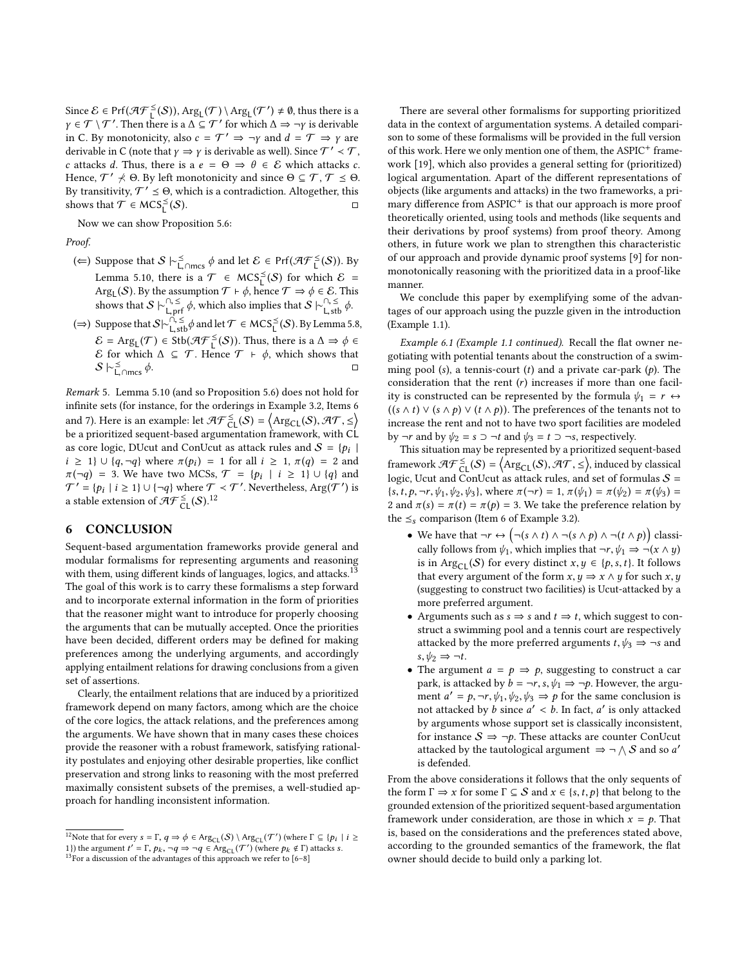Since  $\mathcal{E} \in Prf(\mathcal{AF}_L^{\leq}(S))$ ,  $Arg_L(\mathcal{T}) \setminus Arg_L(\mathcal{T}') \neq \emptyset$ , thus there is a  $\gamma \in \mathcal{T} \setminus \mathcal{T}'$ . Then there is a  $\Delta \subseteq \mathcal{T}'$  for which  $\Delta \Rightarrow \neg \gamma$  is derivable<br>in C, By monotonicity, also  $c = \mathcal{T}' \Rightarrow \neg \gamma$  and  $d = \mathcal{T} \Rightarrow \gamma$  are in C. By monotonicity, also  $c = T' \Rightarrow \neg y$  and  $d = T \Rightarrow y$  are<br>derivable in C (note that  $y \rightarrow y$  is derivable as well). Since  $T' \times T$ derivable in C (note that  $\gamma \Rightarrow \gamma$  is derivable as well). Since  $\mathcal{T}' \prec \mathcal{T}$ ,<br>c attacks d. Thus, there is a  $g - \Theta \Rightarrow \theta \in \mathcal{E}$  which attacks c. c attacks d. Thus, there is a  $e = \Theta \Rightarrow \theta \in \mathcal{E}$  which attacks c. Hence,  $\mathcal{T}' \nprec \Theta$ . By left monotonicity and since  $\Theta \subseteq \mathcal{T}, \mathcal{T} \preceq \Theta$ . By transitivity,  $T' \leq \Theta$ , which is a contradiction. Altogether, this shows that  $\overline{T} \in \text{MCS}_L^{\leq}$  $(S)$ .  $\Box$ 

Now we can show Proposition [5.6:](#page-6-1)

Proof.

- (∈) Suppose that  $S \vdash^{\preceq}_{\sqsubset} \text{max} \phi$  and let  $\mathcal{E} \in \text{Prf}(\mathcal{A} \mathcal{F}^{\preceq}_{\sqsubset}(S))$ . By Lemma [5.10,](#page-6-9) there is a  $\mathcal{T} \in \text{MCS}^{\leq}_L(\mathcal{S})$  for which  $\mathcal{E} =$ Arg<sub>L</sub>(S). By the assumption  $\mathcal{T} \vdash \phi$ , hence  $\mathcal{T} \Rightarrow \phi \in \mathcal{E}$ . This shows that  $S \vdash \Omega \leq \phi$  which also implies that  $S \vdash \Omega \leq \phi$
- shows that  $S \vdash_{\mathsf{L},\text{prf}}^{\cap, \leq} \phi$ , which also implies that  $S \vdash_{\mathsf{L},\text{stb}}^{\cap, \leq} \phi$ .<br>
(⇒) Suppose that  $S \vdash_{\mathsf{L},\text{stb}}^{\cap, \leq} \phi$  and let  $\mathcal{T} \in \text{MCS}_\mathsf{L}^\le(S)$ . By Lemma [5.8,](#page-6-8)  $\mathcal{E} = \text{Arg}_{\mathsf{L}}(\mathcal{T}) \in \text{Stb}(\mathcal{H}\mathcal{F}^{\leq}(\mathcal{S}))$ . Thus, there is a  $\Delta \Rightarrow \phi \in \mathcal{E}$  for which  $\Lambda \subseteq \mathcal{T}$ . Hence  $\mathcal{T} \vdash \phi$  which shows that E for which  $Δ ⊆ T$ . Hence  $T + φ$ , which shows that S  $\vdash^{\leq}_{\mathsf{L},\cap \mathsf{mcs}}$  $\phi$ .  $\Box$

Remark 5. Lemma [5.10](#page-6-9) (and so Proposition [5.6\)](#page-6-1) does not hold for infinite sets (for instance, for the orderings in Example [3.2,](#page-2-3) Items 6 and 7). Here is an example: let  $\mathcal{AF}_{CL}^{\leq}(S) = \left\langle \text{Arg}_{CL}(S), \mathcal{AT}, \leq \right\rangle$ be a prioritized sequent-based argumentation framework, with CL as core logic, DUcut and ConUcut as attack rules and  $S = \{p_i |$ |  $i \ge 1$   $\cup$   $\{q, \neg q\}$  where  $\pi(p_i) = 1$  for all  $i \ge 1$ ,  $\pi(q) = 2$  and  $\pi(\neg a) = 3$ . We have two MCSs  $\mathcal{T} = \{p_i \mid i \ge 1\}$   $\cup$   $\{q\}$  and  $\pi(\neg q) = 3$ . We have two MCSs,  $\mathcal{T} = \{p_i \mid i \geq 1\} \cup \{q\}$  and  $\mathcal{T}' = \{p_i \mid i > 1\} \cup \{\neg q\}$  where  $\mathcal{T} \times \mathcal{T}'$  Nevertheless  $\text{Arg}(\mathcal{T}')$  is  $\mathcal{T}' = \{p_i \mid i \geq 1\} \cup \{\neg q\}$  where  $\mathcal{T} \prec \mathcal{T}'$ . Nevertheless, Arg $(\mathcal{T}')$  is a stable extension of  $\mathcal{AF}^{\leq}_{\mathsf{CL}}(\mathcal{S})$ .<sup>[12](#page-7-1)</sup>

# <span id="page-7-0"></span>6 CONCLUSION

Sequent-based argumentation frameworks provide general and modular formalisms for representing arguments and reasoning with them, using different kinds of languages, logics, and attacks.<sup>[13](#page-7-2)</sup> The goal of this work is to carry these formalisms a step forward and to incorporate external information in the form of priorities that the reasoner might want to introduce for properly choosing the arguments that can be mutually accepted. Once the priorities have been decided, different orders may be defined for making preferences among the underlying arguments, and accordingly applying entailment relations for drawing conclusions from a given set of assertions.

Clearly, the entailment relations that are induced by a prioritized framework depend on many factors, among which are the choice of the core logics, the attack relations, and the preferences among the arguments. We have shown that in many cases these choices provide the reasoner with a robust framework, satisfying rationality postulates and enjoying other desirable properties, like conflict preservation and strong links to reasoning with the most preferred maximally consistent subsets of the premises, a well-studied approach for handling inconsistent information.

There are several other formalisms for supporting prioritized data in the context of argumentation systems. A detailed comparison to some of these formalisms will be provided in the full version of this work. Here we only mention one of them, the ASPIC<sup>+</sup> framework [\[19\]](#page-8-7), which also provides a general setting for (prioritized) logical argumentation. Apart of the different representations of objects (like arguments and attacks) in the two frameworks, a primary difference from ASPIC<sup>+</sup> is that our approach is more proof theoretically oriented, using tools and methods (like sequents and their derivations by proof systems) from proof theory. Among others, in future work we plan to strengthen this characteristic of our approach and provide dynamic proof systems [\[9\]](#page-8-24) for nonmonotonically reasoning with the prioritized data in a proof-like manner.

We conclude this paper by exemplifying some of the advantages of our approach using the puzzle given in the introduction (Example [1.1\)](#page-0-0).

Example 6.1 (Example [1.1](#page-0-0) continued). Recall the flat owner negotiating with potential tenants about the construction of a swimming pool (s), a tennis-court (t) and a private car-park  $(p)$ . The consideration that the rent  $(r)$  increases if more than one facility is constructed can be represented by the formula  $\psi_1 = r \leftrightarrow$  $((s \wedge t) \vee (s \wedge p) \vee (t \wedge p))$ . The preferences of the tenants not to increase the rent and not to have two sport facilities are modeled by  $\neg r$  and by  $\psi_2 = s \supset \neg t$  and  $\psi_3 = t \supset \neg s$ , respectively.

This situation may be represented by a prioritized sequent-based framework  $\mathcal{AF}^{\leq}_{\mathsf{CL}}(\mathcal{S}) = \left\langle \mathrm{Arg}_{\mathsf{CL}}(\mathcal{S}), \mathcal{AT}, \leq \right\rangle$ , induced by classical<br>logic Unut and Constant as attack makes and set of formulas  $\mathcal{S}$ logic, Ucut and ConUcut as attack rules, and set of formulas  $S =$  $\{s, t, p, \neg r, \psi_1, \psi_2, \psi_3\}$ , where  $\pi(\neg r) = 1$ ,  $\pi(\psi_1) = \pi(\psi_2) = \pi(\psi_3) =$ 2 and  $\pi(s) = \pi(t) = \pi(p) = 3$ . We take the preference relation by the  $\leq_s$  comparison (Item 6 of Example [3.2\)](#page-2-3).

- We have that  $\neg r \leftrightarrow (\neg (s \land t) \land \neg (s \land p) \land \neg (t \land p))$  classi-<br>colly follows from  $\psi$ , which implies that  $\neg r \lor (\neg (s \land t))$ cally follows from  $\psi_1$ , which implies that  $\neg r, \psi_1 \Rightarrow \neg(x \land y)$ is in Arg<sub>CL</sub>(S) for every distinct  $x, y \in \{p, s, t\}$ . It follows that every argument of the form  $x, y \Rightarrow x \land y$  for such  $x, y$ (suggesting to construct two facilities) is Ucut-attacked by a more preferred argument.
- Arguments such as  $s \Rightarrow s$  and  $t \Rightarrow t$ , which suggest to construct a swimming pool and a tennis court are respectively attacked by the more preferred arguments  $t, \psi_3 \Rightarrow \neg s$  and  $s, \psi_2 \Rightarrow \neg t$ .
- The argument  $a = p \Rightarrow p$ , suggesting to construct a car park, is attacked by  $b = \neg r, s, \psi_1 \Rightarrow \neg p$ . However, the argument  $a' = p, \neg r, \psi_1, \psi_2, \psi_3 \Rightarrow p$  for the same conclusion is<br>not attacked by h since  $a' > b$ . In fact, a' is only attacked not attacked by *b* since  $a' < b$ . In fact,  $a'$  is only attacked<br>by arguments whose support set is classically inconsistent by arguments whose support set is classically inconsistent, for instance  $S \Rightarrow \neg p$ . These attacks are counter ConUcut attacked by the tautological argument  $\Rightarrow \neg \wedge S$  and so a' is defended.

From the above considerations it follows that the only sequents of the form  $\Gamma \Rightarrow x$  for some  $\Gamma \subseteq S$  and  $x \in \{s, t, p\}$  that belong to the grounded extension of the prioritized sequent-based argumentation framework under consideration, are those in which  $x = p$ . That is, based on the considerations and the preferences stated above, according to the grounded semantics of the framework, the flat owner should decide to build only a parking lot.

<span id="page-7-1"></span><sup>&</sup>lt;sup>12</sup>Note that for every  $s = \Gamma$ ,  $q \Rightarrow \phi \in \text{Arg}_{\text{CL}}(\mathcal{S}) \setminus \text{Arg}_{\text{CL}}(\mathcal{T}')$  (where  $\Gamma \subseteq \{p_i \mid i \geq 1\}$ ) the argument  $t' = \Gamma$ ,  $p_k$ ,  $\neg q \Rightarrow \neg q \in \text{Arg}_{\text{CL}}(\mathcal{T}')$  (where  $p_k \notin \Gamma$ ) attacks s.

<span id="page-7-2"></span> $^{13}$  For a discussion of the advantages of this approach we refer to [\[6–](#page-8-10)[8\]](#page-8-11)